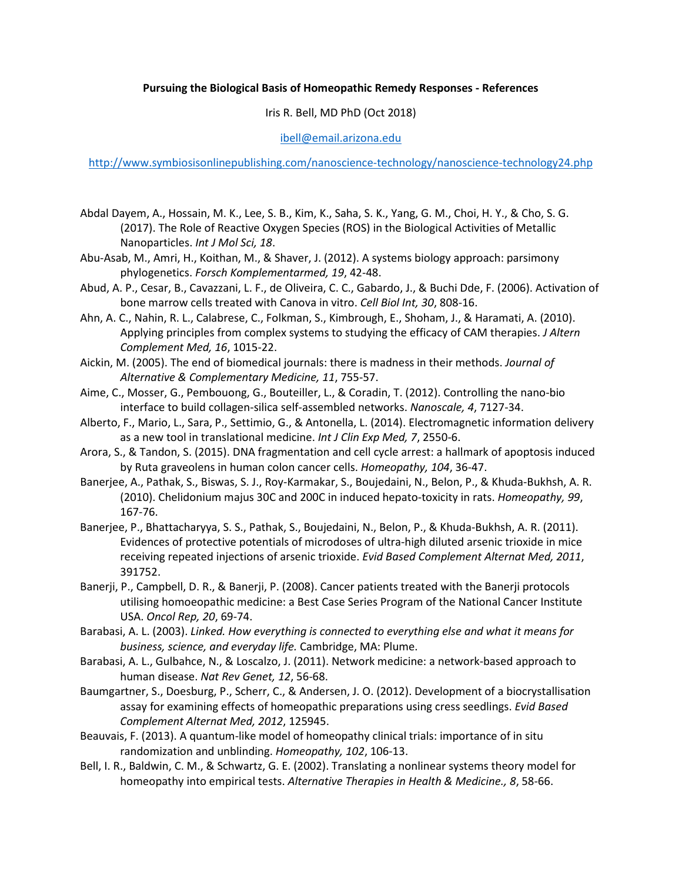## **Pursuing the Biological Basis of Homeopathic Remedy Responses - References**

Iris R. Bell, MD PhD (Oct 2018)

ibell@email.arizona.edu

http://www.symbiosisonlinepublishing.com/nanoscience-technology/nanoscience-technology24.php

- Abdal Dayem, A., Hossain, M. K., Lee, S. B., Kim, K., Saha, S. K., Yang, G. M., Choi, H. Y., & Cho, S. G. (2017). The Role of Reactive Oxygen Species (ROS) in the Biological Activities of Metallic Nanoparticles. *Int J Mol Sci, 18*.
- Abu-Asab, M., Amri, H., Koithan, M., & Shaver, J. (2012). A systems biology approach: parsimony phylogenetics. *Forsch Komplementarmed, 19*, 42-48.
- Abud, A. P., Cesar, B., Cavazzani, L. F., de Oliveira, C. C., Gabardo, J., & Buchi Dde, F. (2006). Activation of bone marrow cells treated with Canova in vitro. *Cell Biol Int, 30*, 808-16.
- Ahn, A. C., Nahin, R. L., Calabrese, C., Folkman, S., Kimbrough, E., Shoham, J., & Haramati, A. (2010). Applying principles from complex systems to studying the efficacy of CAM therapies. *J Altern Complement Med, 16*, 1015-22.
- Aickin, M. (2005). The end of biomedical journals: there is madness in their methods. *Journal of Alternative & Complementary Medicine, 11*, 755-57.
- Aime, C., Mosser, G., Pembouong, G., Bouteiller, L., & Coradin, T. (2012). Controlling the nano-bio interface to build collagen-silica self-assembled networks. *Nanoscale, 4*, 7127-34.
- Alberto, F., Mario, L., Sara, P., Settimio, G., & Antonella, L. (2014). Electromagnetic information delivery as a new tool in translational medicine. *Int J Clin Exp Med, 7*, 2550-6.
- Arora, S., & Tandon, S. (2015). DNA fragmentation and cell cycle arrest: a hallmark of apoptosis induced by Ruta graveolens in human colon cancer cells. *Homeopathy, 104*, 36-47.
- Banerjee, A., Pathak, S., Biswas, S. J., Roy-Karmakar, S., Boujedaini, N., Belon, P., & Khuda-Bukhsh, A. R. (2010). Chelidonium majus 30C and 200C in induced hepato-toxicity in rats. *Homeopathy, 99*, 167-76.
- Banerjee, P., Bhattacharyya, S. S., Pathak, S., Boujedaini, N., Belon, P., & Khuda-Bukhsh, A. R. (2011). Evidences of protective potentials of microdoses of ultra-high diluted arsenic trioxide in mice receiving repeated injections of arsenic trioxide. *Evid Based Complement Alternat Med, 2011*, 391752.
- Banerji, P., Campbell, D. R., & Banerji, P. (2008). Cancer patients treated with the Banerji protocols utilising homoeopathic medicine: a Best Case Series Program of the National Cancer Institute USA. *Oncol Rep, 20*, 69-74.
- Barabasi, A. L. (2003). *Linked. How everything is connected to everything else and what it means for business, science, and everyday life.* Cambridge, MA: Plume.
- Barabasi, A. L., Gulbahce, N., & Loscalzo, J. (2011). Network medicine: a network-based approach to human disease. *Nat Rev Genet, 12*, 56-68.
- Baumgartner, S., Doesburg, P., Scherr, C., & Andersen, J. O. (2012). Development of a biocrystallisation assay for examining effects of homeopathic preparations using cress seedlings. *Evid Based Complement Alternat Med, 2012*, 125945.
- Beauvais, F. (2013). A quantum-like model of homeopathy clinical trials: importance of in situ randomization and unblinding. *Homeopathy, 102*, 106-13.
- Bell, I. R., Baldwin, C. M., & Schwartz, G. E. (2002). Translating a nonlinear systems theory model for homeopathy into empirical tests. *Alternative Therapies in Health & Medicine., 8*, 58-66.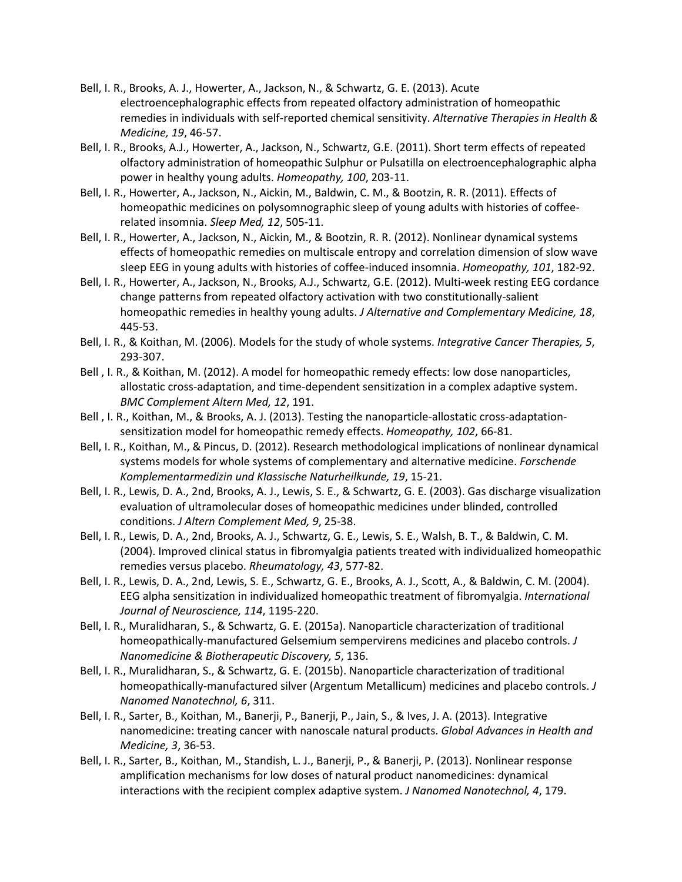- Bell, I. R., Brooks, A. J., Howerter, A., Jackson, N., & Schwartz, G. E. (2013). Acute electroencephalographic effects from repeated olfactory administration of homeopathic remedies in individuals with self-reported chemical sensitivity. *Alternative Therapies in Health & Medicine, 19*, 46-57.
- Bell, I. R., Brooks, A.J., Howerter, A., Jackson, N., Schwartz, G.E. (2011). Short term effects of repeated olfactory administration of homeopathic Sulphur or Pulsatilla on electroencephalographic alpha power in healthy young adults. *Homeopathy, 100*, 203-11.
- Bell, I. R., Howerter, A., Jackson, N., Aickin, M., Baldwin, C. M., & Bootzin, R. R. (2011). Effects of homeopathic medicines on polysomnographic sleep of young adults with histories of coffeerelated insomnia. *Sleep Med, 12*, 505-11.
- Bell, I. R., Howerter, A., Jackson, N., Aickin, M., & Bootzin, R. R. (2012). Nonlinear dynamical systems effects of homeopathic remedies on multiscale entropy and correlation dimension of slow wave sleep EEG in young adults with histories of coffee-induced insomnia. *Homeopathy, 101*, 182-92.
- Bell, I. R., Howerter, A., Jackson, N., Brooks, A.J., Schwartz, G.E. (2012). Multi-week resting EEG cordance change patterns from repeated olfactory activation with two constitutionally-salient homeopathic remedies in healthy young adults. *J Alternative and Complementary Medicine, 18*, 445-53.
- Bell, I. R., & Koithan, M. (2006). Models for the study of whole systems. *Integrative Cancer Therapies, 5*, 293-307.
- Bell , I. R., & Koithan, M. (2012). A model for homeopathic remedy effects: low dose nanoparticles, allostatic cross-adaptation, and time-dependent sensitization in a complex adaptive system. *BMC Complement Altern Med, 12*, 191.
- Bell , I. R., Koithan, M., & Brooks, A. J. (2013). Testing the nanoparticle-allostatic cross-adaptationsensitization model for homeopathic remedy effects. *Homeopathy, 102*, 66-81.
- Bell, I. R., Koithan, M., & Pincus, D. (2012). Research methodological implications of nonlinear dynamical systems models for whole systems of complementary and alternative medicine. *Forschende Komplementarmedizin und Klassische Naturheilkunde, 19*, 15-21.
- Bell, I. R., Lewis, D. A., 2nd, Brooks, A. J., Lewis, S. E., & Schwartz, G. E. (2003). Gas discharge visualization evaluation of ultramolecular doses of homeopathic medicines under blinded, controlled conditions. *J Altern Complement Med, 9*, 25-38.
- Bell, I. R., Lewis, D. A., 2nd, Brooks, A. J., Schwartz, G. E., Lewis, S. E., Walsh, B. T., & Baldwin, C. M. (2004). Improved clinical status in fibromyalgia patients treated with individualized homeopathic remedies versus placebo. *Rheumatology, 43*, 577-82.
- Bell, I. R., Lewis, D. A., 2nd, Lewis, S. E., Schwartz, G. E., Brooks, A. J., Scott, A., & Baldwin, C. M. (2004). EEG alpha sensitization in individualized homeopathic treatment of fibromyalgia. *International Journal of Neuroscience, 114*, 1195-220.
- Bell, I. R., Muralidharan, S., & Schwartz, G. E. (2015a). Nanoparticle characterization of traditional homeopathically-manufactured Gelsemium sempervirens medicines and placebo controls. *J Nanomedicine & Biotherapeutic Discovery, 5*, 136.
- Bell, I. R., Muralidharan, S., & Schwartz, G. E. (2015b). Nanoparticle characterization of traditional homeopathically-manufactured silver (Argentum Metallicum) medicines and placebo controls. *J Nanomed Nanotechnol, 6*, 311.
- Bell, I. R., Sarter, B., Koithan, M., Banerji, P., Banerji, P., Jain, S., & Ives, J. A. (2013). Integrative nanomedicine: treating cancer with nanoscale natural products. *Global Advances in Health and Medicine, 3*, 36-53.
- Bell, I. R., Sarter, B., Koithan, M., Standish, L. J., Banerji, P., & Banerji, P. (2013). Nonlinear response amplification mechanisms for low doses of natural product nanomedicines: dynamical interactions with the recipient complex adaptive system. *J Nanomed Nanotechnol, 4*, 179.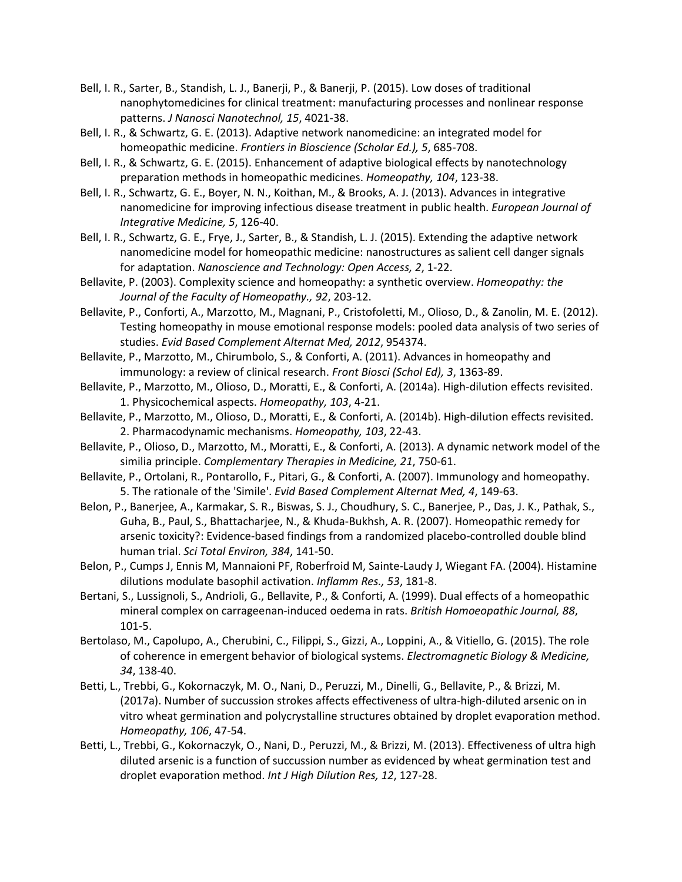- Bell, I. R., Sarter, B., Standish, L. J., Banerji, P., & Banerji, P. (2015). Low doses of traditional nanophytomedicines for clinical treatment: manufacturing processes and nonlinear response patterns. *J Nanosci Nanotechnol, 15*, 4021-38.
- Bell, I. R., & Schwartz, G. E. (2013). Adaptive network nanomedicine: an integrated model for homeopathic medicine. *Frontiers in Bioscience (Scholar Ed.), 5*, 685-708.
- Bell, I. R., & Schwartz, G. E. (2015). Enhancement of adaptive biological effects by nanotechnology preparation methods in homeopathic medicines. *Homeopathy, 104*, 123-38.
- Bell, I. R., Schwartz, G. E., Boyer, N. N., Koithan, M., & Brooks, A. J. (2013). Advances in integrative nanomedicine for improving infectious disease treatment in public health. *European Journal of Integrative Medicine, 5*, 126-40.
- Bell, I. R., Schwartz, G. E., Frye, J., Sarter, B., & Standish, L. J. (2015). Extending the adaptive network nanomedicine model for homeopathic medicine: nanostructures as salient cell danger signals for adaptation. *Nanoscience and Technology: Open Access, 2*, 1-22.
- Bellavite, P. (2003). Complexity science and homeopathy: a synthetic overview. *Homeopathy: the Journal of the Faculty of Homeopathy., 92*, 203-12.
- Bellavite, P., Conforti, A., Marzotto, M., Magnani, P., Cristofoletti, M., Olioso, D., & Zanolin, M. E. (2012). Testing homeopathy in mouse emotional response models: pooled data analysis of two series of studies. *Evid Based Complement Alternat Med, 2012*, 954374.
- Bellavite, P., Marzotto, M., Chirumbolo, S., & Conforti, A. (2011). Advances in homeopathy and immunology: a review of clinical research. *Front Biosci (Schol Ed), 3*, 1363-89.
- Bellavite, P., Marzotto, M., Olioso, D., Moratti, E., & Conforti, A. (2014a). High-dilution effects revisited. 1. Physicochemical aspects. *Homeopathy, 103*, 4-21.
- Bellavite, P., Marzotto, M., Olioso, D., Moratti, E., & Conforti, A. (2014b). High-dilution effects revisited. 2. Pharmacodynamic mechanisms. *Homeopathy, 103*, 22-43.
- Bellavite, P., Olioso, D., Marzotto, M., Moratti, E., & Conforti, A. (2013). A dynamic network model of the similia principle. *Complementary Therapies in Medicine, 21*, 750-61.
- Bellavite, P., Ortolani, R., Pontarollo, F., Pitari, G., & Conforti, A. (2007). Immunology and homeopathy. 5. The rationale of the 'Simile'. *Evid Based Complement Alternat Med, 4*, 149-63.
- Belon, P., Banerjee, A., Karmakar, S. R., Biswas, S. J., Choudhury, S. C., Banerjee, P., Das, J. K., Pathak, S., Guha, B., Paul, S., Bhattacharjee, N., & Khuda-Bukhsh, A. R. (2007). Homeopathic remedy for arsenic toxicity?: Evidence-based findings from a randomized placebo-controlled double blind human trial. *Sci Total Environ, 384*, 141-50.
- Belon, P., Cumps J, Ennis M, Mannaioni PF, Roberfroid M, Sainte-Laudy J, Wiegant FA. (2004). Histamine dilutions modulate basophil activation. *Inflamm Res., 53*, 181-8.
- Bertani, S., Lussignoli, S., Andrioli, G., Bellavite, P., & Conforti, A. (1999). Dual effects of a homeopathic mineral complex on carrageenan-induced oedema in rats. *British Homoeopathic Journal, 88*, 101-5.
- Bertolaso, M., Capolupo, A., Cherubini, C., Filippi, S., Gizzi, A., Loppini, A., & Vitiello, G. (2015). The role of coherence in emergent behavior of biological systems. *Electromagnetic Biology & Medicine, 34*, 138-40.
- Betti, L., Trebbi, G., Kokornaczyk, M. O., Nani, D., Peruzzi, M., Dinelli, G., Bellavite, P., & Brizzi, M. (2017a). Number of succussion strokes affects effectiveness of ultra-high-diluted arsenic on in vitro wheat germination and polycrystalline structures obtained by droplet evaporation method. *Homeopathy, 106*, 47-54.
- Betti, L., Trebbi, G., Kokornaczyk, O., Nani, D., Peruzzi, M., & Brizzi, M. (2013). Effectiveness of ultra high diluted arsenic is a function of succussion number as evidenced by wheat germination test and droplet evaporation method. *Int J High Dilution Res, 12*, 127-28.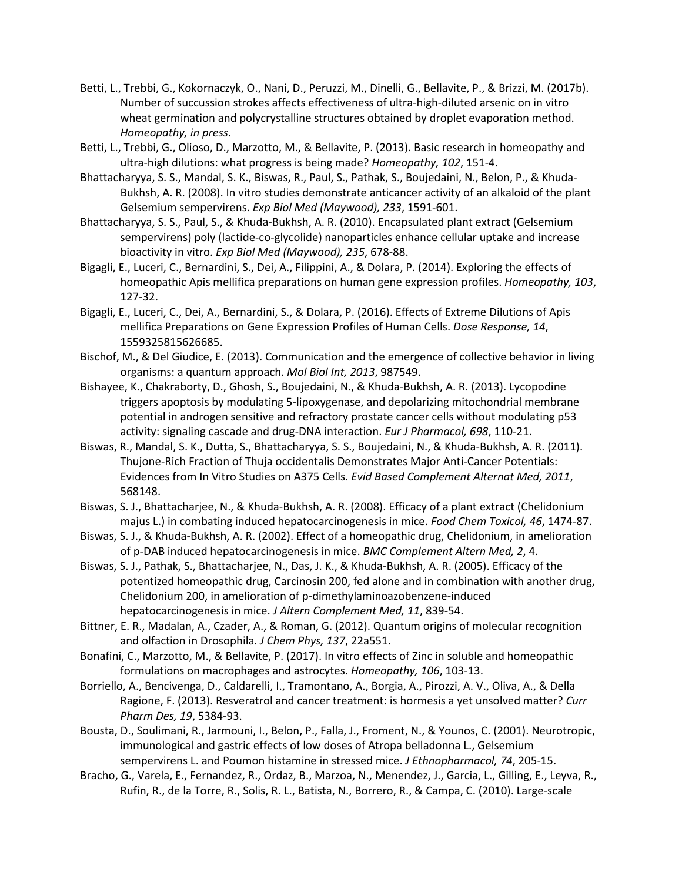- Betti, L., Trebbi, G., Kokornaczyk, O., Nani, D., Peruzzi, M., Dinelli, G., Bellavite, P., & Brizzi, M. (2017b). Number of succussion strokes affects effectiveness of ultra-high-diluted arsenic on in vitro wheat germination and polycrystalline structures obtained by droplet evaporation method. *Homeopathy, in press*.
- Betti, L., Trebbi, G., Olioso, D., Marzotto, M., & Bellavite, P. (2013). Basic research in homeopathy and ultra-high dilutions: what progress is being made? *Homeopathy, 102*, 151-4.
- Bhattacharyya, S. S., Mandal, S. K., Biswas, R., Paul, S., Pathak, S., Boujedaini, N., Belon, P., & Khuda-Bukhsh, A. R. (2008). In vitro studies demonstrate anticancer activity of an alkaloid of the plant Gelsemium sempervirens. *Exp Biol Med (Maywood), 233*, 1591-601.
- Bhattacharyya, S. S., Paul, S., & Khuda-Bukhsh, A. R. (2010). Encapsulated plant extract (Gelsemium sempervirens) poly (lactide-co-glycolide) nanoparticles enhance cellular uptake and increase bioactivity in vitro. *Exp Biol Med (Maywood), 235*, 678-88.
- Bigagli, E., Luceri, C., Bernardini, S., Dei, A., Filippini, A., & Dolara, P. (2014). Exploring the effects of homeopathic Apis mellifica preparations on human gene expression profiles. *Homeopathy, 103*, 127-32.
- Bigagli, E., Luceri, C., Dei, A., Bernardini, S., & Dolara, P. (2016). Effects of Extreme Dilutions of Apis mellifica Preparations on Gene Expression Profiles of Human Cells. *Dose Response, 14*, 1559325815626685.
- Bischof, M., & Del Giudice, E. (2013). Communication and the emergence of collective behavior in living organisms: a quantum approach. *Mol Biol Int, 2013*, 987549.
- Bishayee, K., Chakraborty, D., Ghosh, S., Boujedaini, N., & Khuda-Bukhsh, A. R. (2013). Lycopodine triggers apoptosis by modulating 5-lipoxygenase, and depolarizing mitochondrial membrane potential in androgen sensitive and refractory prostate cancer cells without modulating p53 activity: signaling cascade and drug-DNA interaction. *Eur J Pharmacol, 698*, 110-21.
- Biswas, R., Mandal, S. K., Dutta, S., Bhattacharyya, S. S., Boujedaini, N., & Khuda-Bukhsh, A. R. (2011). Thujone-Rich Fraction of Thuja occidentalis Demonstrates Major Anti-Cancer Potentials: Evidences from In Vitro Studies on A375 Cells. *Evid Based Complement Alternat Med, 2011*, 568148.
- Biswas, S. J., Bhattacharjee, N., & Khuda-Bukhsh, A. R. (2008). Efficacy of a plant extract (Chelidonium majus L.) in combating induced hepatocarcinogenesis in mice. *Food Chem Toxicol, 46*, 1474-87.
- Biswas, S. J., & Khuda-Bukhsh, A. R. (2002). Effect of a homeopathic drug, Chelidonium, in amelioration of p-DAB induced hepatocarcinogenesis in mice. *BMC Complement Altern Med, 2*, 4.
- Biswas, S. J., Pathak, S., Bhattacharjee, N., Das, J. K., & Khuda-Bukhsh, A. R. (2005). Efficacy of the potentized homeopathic drug, Carcinosin 200, fed alone and in combination with another drug, Chelidonium 200, in amelioration of p-dimethylaminoazobenzene-induced hepatocarcinogenesis in mice. *J Altern Complement Med, 11*, 839-54.
- Bittner, E. R., Madalan, A., Czader, A., & Roman, G. (2012). Quantum origins of molecular recognition and olfaction in Drosophila. *J Chem Phys, 137*, 22a551.
- Bonafini, C., Marzotto, M., & Bellavite, P. (2017). In vitro effects of Zinc in soluble and homeopathic formulations on macrophages and astrocytes. *Homeopathy, 106*, 103-13.
- Borriello, A., Bencivenga, D., Caldarelli, I., Tramontano, A., Borgia, A., Pirozzi, A. V., Oliva, A., & Della Ragione, F. (2013). Resveratrol and cancer treatment: is hormesis a yet unsolved matter? *Curr Pharm Des, 19*, 5384-93.
- Bousta, D., Soulimani, R., Jarmouni, I., Belon, P., Falla, J., Froment, N., & Younos, C. (2001). Neurotropic, immunological and gastric effects of low doses of Atropa belladonna L., Gelsemium sempervirens L. and Poumon histamine in stressed mice. *J Ethnopharmacol, 74*, 205-15.
- Bracho, G., Varela, E., Fernandez, R., Ordaz, B., Marzoa, N., Menendez, J., Garcia, L., Gilling, E., Leyva, R., Rufin, R., de la Torre, R., Solis, R. L., Batista, N., Borrero, R., & Campa, C. (2010). Large-scale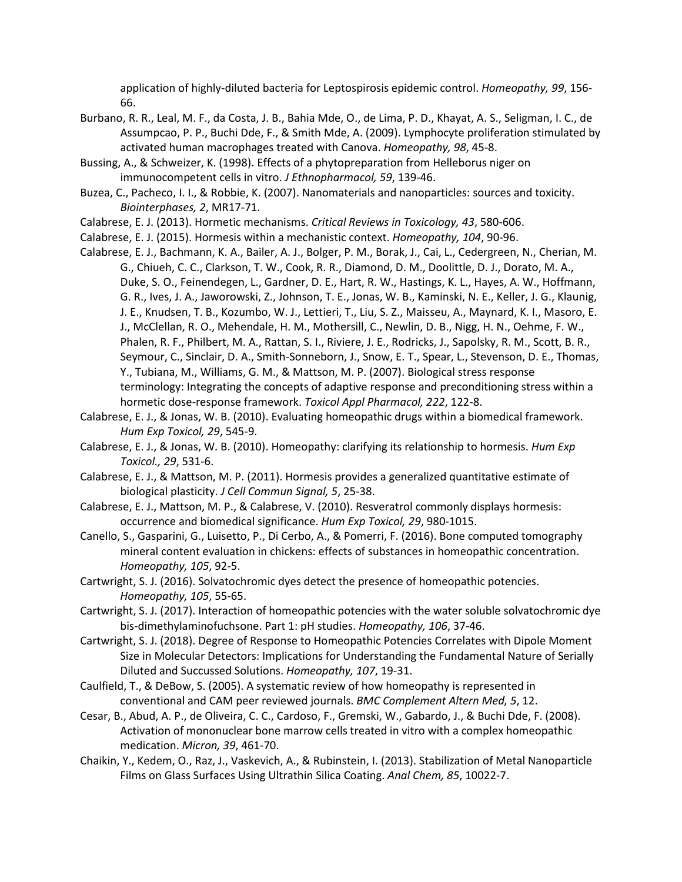application of highly-diluted bacteria for Leptospirosis epidemic control. *Homeopathy, 99*, 156- 66.

- Burbano, R. R., Leal, M. F., da Costa, J. B., Bahia Mde, O., de Lima, P. D., Khayat, A. S., Seligman, I. C., de Assumpcao, P. P., Buchi Dde, F., & Smith Mde, A. (2009). Lymphocyte proliferation stimulated by activated human macrophages treated with Canova. *Homeopathy, 98*, 45-8.
- Bussing, A., & Schweizer, K. (1998). Effects of a phytopreparation from Helleborus niger on immunocompetent cells in vitro. *J Ethnopharmacol, 59*, 139-46.
- Buzea, C., Pacheco, I. I., & Robbie, K. (2007). Nanomaterials and nanoparticles: sources and toxicity. *Biointerphases, 2*, MR17-71.
- Calabrese, E. J. (2013). Hormetic mechanisms. *Critical Reviews in Toxicology, 43*, 580-606.
- Calabrese, E. J. (2015). Hormesis within a mechanistic context. *Homeopathy, 104*, 90-96.
- Calabrese, E. J., Bachmann, K. A., Bailer, A. J., Bolger, P. M., Borak, J., Cai, L., Cedergreen, N., Cherian, M. G., Chiueh, C. C., Clarkson, T. W., Cook, R. R., Diamond, D. M., Doolittle, D. J., Dorato, M. A., Duke, S. O., Feinendegen, L., Gardner, D. E., Hart, R. W., Hastings, K. L., Hayes, A. W., Hoffmann, G. R., Ives, J. A., Jaworowski, Z., Johnson, T. E., Jonas, W. B., Kaminski, N. E., Keller, J. G., Klaunig, J. E., Knudsen, T. B., Kozumbo, W. J., Lettieri, T., Liu, S. Z., Maisseu, A., Maynard, K. I., Masoro, E. J., McClellan, R. O., Mehendale, H. M., Mothersill, C., Newlin, D. B., Nigg, H. N., Oehme, F. W., Phalen, R. F., Philbert, M. A., Rattan, S. I., Riviere, J. E., Rodricks, J., Sapolsky, R. M., Scott, B. R., Seymour, C., Sinclair, D. A., Smith-Sonneborn, J., Snow, E. T., Spear, L., Stevenson, D. E., Thomas, Y., Tubiana, M., Williams, G. M., & Mattson, M. P. (2007). Biological stress response terminology: Integrating the concepts of adaptive response and preconditioning stress within a hormetic dose-response framework. *Toxicol Appl Pharmacol, 222*, 122-8.
- Calabrese, E. J., & Jonas, W. B. (2010). Evaluating homeopathic drugs within a biomedical framework. *Hum Exp Toxicol, 29*, 545-9.
- Calabrese, E. J., & Jonas, W. B. (2010). Homeopathy: clarifying its relationship to hormesis. *Hum Exp Toxicol., 29*, 531-6.
- Calabrese, E. J., & Mattson, M. P. (2011). Hormesis provides a generalized quantitative estimate of biological plasticity. *J Cell Commun Signal, 5*, 25-38.
- Calabrese, E. J., Mattson, M. P., & Calabrese, V. (2010). Resveratrol commonly displays hormesis: occurrence and biomedical significance. *Hum Exp Toxicol, 29*, 980-1015.
- Canello, S., Gasparini, G., Luisetto, P., Di Cerbo, A., & Pomerri, F. (2016). Bone computed tomography mineral content evaluation in chickens: effects of substances in homeopathic concentration. *Homeopathy, 105*, 92-5.
- Cartwright, S. J. (2016). Solvatochromic dyes detect the presence of homeopathic potencies. *Homeopathy, 105*, 55-65.
- Cartwright, S. J. (2017). Interaction of homeopathic potencies with the water soluble solvatochromic dye bis-dimethylaminofuchsone. Part 1: pH studies. *Homeopathy, 106*, 37-46.
- Cartwright, S. J. (2018). Degree of Response to Homeopathic Potencies Correlates with Dipole Moment Size in Molecular Detectors: Implications for Understanding the Fundamental Nature of Serially Diluted and Succussed Solutions. *Homeopathy, 107*, 19-31.
- Caulfield, T., & DeBow, S. (2005). A systematic review of how homeopathy is represented in conventional and CAM peer reviewed journals. *BMC Complement Altern Med, 5*, 12.
- Cesar, B., Abud, A. P., de Oliveira, C. C., Cardoso, F., Gremski, W., Gabardo, J., & Buchi Dde, F. (2008). Activation of mononuclear bone marrow cells treated in vitro with a complex homeopathic medication. *Micron, 39*, 461-70.
- Chaikin, Y., Kedem, O., Raz, J., Vaskevich, A., & Rubinstein, I. (2013). Stabilization of Metal Nanoparticle Films on Glass Surfaces Using Ultrathin Silica Coating. *Anal Chem, 85*, 10022-7.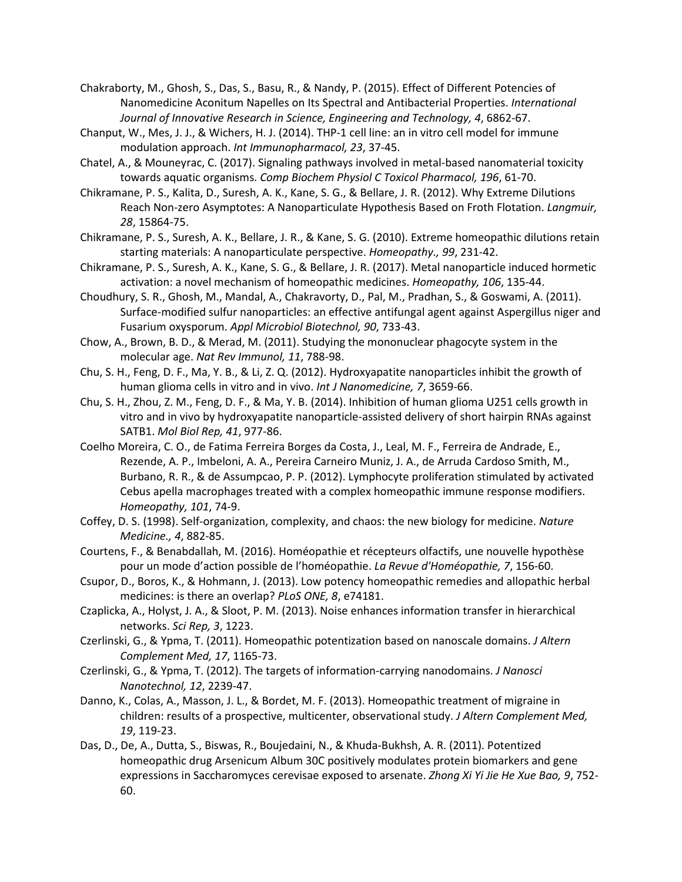- Chakraborty, M., Ghosh, S., Das, S., Basu, R., & Nandy, P. (2015). Effect of Different Potencies of Nanomedicine Aconitum Napelles on Its Spectral and Antibacterial Properties. *International Journal of Innovative Research in Science, Engineering and Technology, 4*, 6862-67.
- Chanput, W., Mes, J. J., & Wichers, H. J. (2014). THP-1 cell line: an in vitro cell model for immune modulation approach. *Int Immunopharmacol, 23*, 37-45.
- Chatel, A., & Mouneyrac, C. (2017). Signaling pathways involved in metal-based nanomaterial toxicity towards aquatic organisms. *Comp Biochem Physiol C Toxicol Pharmacol, 196*, 61-70.
- Chikramane, P. S., Kalita, D., Suresh, A. K., Kane, S. G., & Bellare, J. R. (2012). Why Extreme Dilutions Reach Non-zero Asymptotes: A Nanoparticulate Hypothesis Based on Froth Flotation. *Langmuir, 28*, 15864-75.
- Chikramane, P. S., Suresh, A. K., Bellare, J. R., & Kane, S. G. (2010). Extreme homeopathic dilutions retain starting materials: A nanoparticulate perspective. *Homeopathy., 99*, 231-42.
- Chikramane, P. S., Suresh, A. K., Kane, S. G., & Bellare, J. R. (2017). Metal nanoparticle induced hormetic activation: a novel mechanism of homeopathic medicines. *Homeopathy, 106*, 135-44.
- Choudhury, S. R., Ghosh, M., Mandal, A., Chakravorty, D., Pal, M., Pradhan, S., & Goswami, A. (2011). Surface-modified sulfur nanoparticles: an effective antifungal agent against Aspergillus niger and Fusarium oxysporum. *Appl Microbiol Biotechnol, 90*, 733-43.
- Chow, A., Brown, B. D., & Merad, M. (2011). Studying the mononuclear phagocyte system in the molecular age. *Nat Rev Immunol, 11*, 788-98.
- Chu, S. H., Feng, D. F., Ma, Y. B., & Li, Z. Q. (2012). Hydroxyapatite nanoparticles inhibit the growth of human glioma cells in vitro and in vivo. *Int J Nanomedicine, 7*, 3659-66.
- Chu, S. H., Zhou, Z. M., Feng, D. F., & Ma, Y. B. (2014). Inhibition of human glioma U251 cells growth in vitro and in vivo by hydroxyapatite nanoparticle-assisted delivery of short hairpin RNAs against SATB1. *Mol Biol Rep, 41*, 977-86.
- Coelho Moreira, C. O., de Fatima Ferreira Borges da Costa, J., Leal, M. F., Ferreira de Andrade, E., Rezende, A. P., Imbeloni, A. A., Pereira Carneiro Muniz, J. A., de Arruda Cardoso Smith, M., Burbano, R. R., & de Assumpcao, P. P. (2012). Lymphocyte proliferation stimulated by activated Cebus apella macrophages treated with a complex homeopathic immune response modifiers. *Homeopathy, 101*, 74-9.
- Coffey, D. S. (1998). Self-organization, complexity, and chaos: the new biology for medicine. *Nature Medicine., 4*, 882-85.
- Courtens, F., & Benabdallah, M. (2016). Homéopathie et récepteurs olfactifs, une nouvelle hypothèse pour un mode d'action possible de l'homéopathie. *La Revue d'Homéopathie, 7*, 156-60.
- Csupor, D., Boros, K., & Hohmann, J. (2013). Low potency homeopathic remedies and allopathic herbal medicines: is there an overlap? *PLoS ONE, 8*, e74181.
- Czaplicka, A., Holyst, J. A., & Sloot, P. M. (2013). Noise enhances information transfer in hierarchical networks. *Sci Rep, 3*, 1223.
- Czerlinski, G., & Ypma, T. (2011). Homeopathic potentization based on nanoscale domains. *J Altern Complement Med, 17*, 1165-73.
- Czerlinski, G., & Ypma, T. (2012). The targets of information-carrying nanodomains. *J Nanosci Nanotechnol, 12*, 2239-47.
- Danno, K., Colas, A., Masson, J. L., & Bordet, M. F. (2013). Homeopathic treatment of migraine in children: results of a prospective, multicenter, observational study. *J Altern Complement Med, 19*, 119-23.
- Das, D., De, A., Dutta, S., Biswas, R., Boujedaini, N., & Khuda-Bukhsh, A. R. (2011). Potentized homeopathic drug Arsenicum Album 30C positively modulates protein biomarkers and gene expressions in Saccharomyces cerevisae exposed to arsenate. *Zhong Xi Yi Jie He Xue Bao, 9*, 752- 60.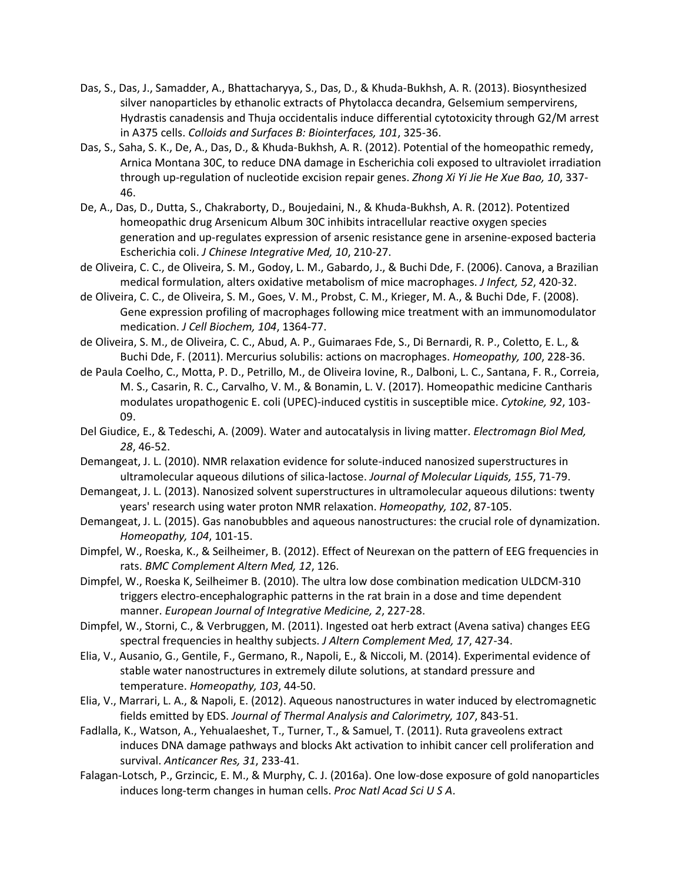- Das, S., Das, J., Samadder, A., Bhattacharyya, S., Das, D., & Khuda-Bukhsh, A. R. (2013). Biosynthesized silver nanoparticles by ethanolic extracts of Phytolacca decandra, Gelsemium sempervirens, Hydrastis canadensis and Thuja occidentalis induce differential cytotoxicity through G2/M arrest in A375 cells. *Colloids and Surfaces B: Biointerfaces, 101*, 325-36.
- Das, S., Saha, S. K., De, A., Das, D., & Khuda-Bukhsh, A. R. (2012). Potential of the homeopathic remedy, Arnica Montana 30C, to reduce DNA damage in Escherichia coli exposed to ultraviolet irradiation through up-regulation of nucleotide excision repair genes. *Zhong Xi Yi Jie He Xue Bao, 10*, 337- 46.
- De, A., Das, D., Dutta, S., Chakraborty, D., Boujedaini, N., & Khuda-Bukhsh, A. R. (2012). Potentized homeopathic drug Arsenicum Album 30C inhibits intracellular reactive oxygen species generation and up-regulates expression of arsenic resistance gene in arsenine-exposed bacteria Escherichia coli. *J Chinese Integrative Med, 10*, 210-27.
- de Oliveira, C. C., de Oliveira, S. M., Godoy, L. M., Gabardo, J., & Buchi Dde, F. (2006). Canova, a Brazilian medical formulation, alters oxidative metabolism of mice macrophages. *J Infect, 52*, 420-32.
- de Oliveira, C. C., de Oliveira, S. M., Goes, V. M., Probst, C. M., Krieger, M. A., & Buchi Dde, F. (2008). Gene expression profiling of macrophages following mice treatment with an immunomodulator medication. *J Cell Biochem, 104*, 1364-77.
- de Oliveira, S. M., de Oliveira, C. C., Abud, A. P., Guimaraes Fde, S., Di Bernardi, R. P., Coletto, E. L., & Buchi Dde, F. (2011). Mercurius solubilis: actions on macrophages. *Homeopathy, 100*, 228-36.
- de Paula Coelho, C., Motta, P. D., Petrillo, M., de Oliveira Iovine, R., Dalboni, L. C., Santana, F. R., Correia, M. S., Casarin, R. C., Carvalho, V. M., & Bonamin, L. V. (2017). Homeopathic medicine Cantharis modulates uropathogenic E. coli (UPEC)-induced cystitis in susceptible mice. *Cytokine, 92*, 103- 09.
- Del Giudice, E., & Tedeschi, A. (2009). Water and autocatalysis in living matter. *Electromagn Biol Med, 28*, 46-52.
- Demangeat, J. L. (2010). NMR relaxation evidence for solute-induced nanosized superstructures in ultramolecular aqueous dilutions of silica-lactose. *Journal of Molecular Liquids, 155*, 71-79.
- Demangeat, J. L. (2013). Nanosized solvent superstructures in ultramolecular aqueous dilutions: twenty years' research using water proton NMR relaxation. *Homeopathy, 102*, 87-105.
- Demangeat, J. L. (2015). Gas nanobubbles and aqueous nanostructures: the crucial role of dynamization. *Homeopathy, 104*, 101-15.
- Dimpfel, W., Roeska, K., & Seilheimer, B. (2012). Effect of Neurexan on the pattern of EEG frequencies in rats. *BMC Complement Altern Med, 12*, 126.
- Dimpfel, W., Roeska K, Seilheimer B. (2010). The ultra low dose combination medication ULDCM-310 triggers electro-encephalographic patterns in the rat brain in a dose and time dependent manner. *European Journal of Integrative Medicine, 2*, 227-28.
- Dimpfel, W., Storni, C., & Verbruggen, M. (2011). Ingested oat herb extract (Avena sativa) changes EEG spectral frequencies in healthy subjects. *J Altern Complement Med, 17*, 427-34.
- Elia, V., Ausanio, G., Gentile, F., Germano, R., Napoli, E., & Niccoli, M. (2014). Experimental evidence of stable water nanostructures in extremely dilute solutions, at standard pressure and temperature. *Homeopathy, 103*, 44-50.
- Elia, V., Marrari, L. A., & Napoli, E. (2012). Aqueous nanostructures in water induced by electromagnetic fields emitted by EDS. *Journal of Thermal Analysis and Calorimetry, 107*, 843-51.
- Fadlalla, K., Watson, A., Yehualaeshet, T., Turner, T., & Samuel, T. (2011). Ruta graveolens extract induces DNA damage pathways and blocks Akt activation to inhibit cancer cell proliferation and survival. *Anticancer Res, 31*, 233-41.
- Falagan-Lotsch, P., Grzincic, E. M., & Murphy, C. J. (2016a). One low-dose exposure of gold nanoparticles induces long-term changes in human cells. *Proc Natl Acad Sci U S A*.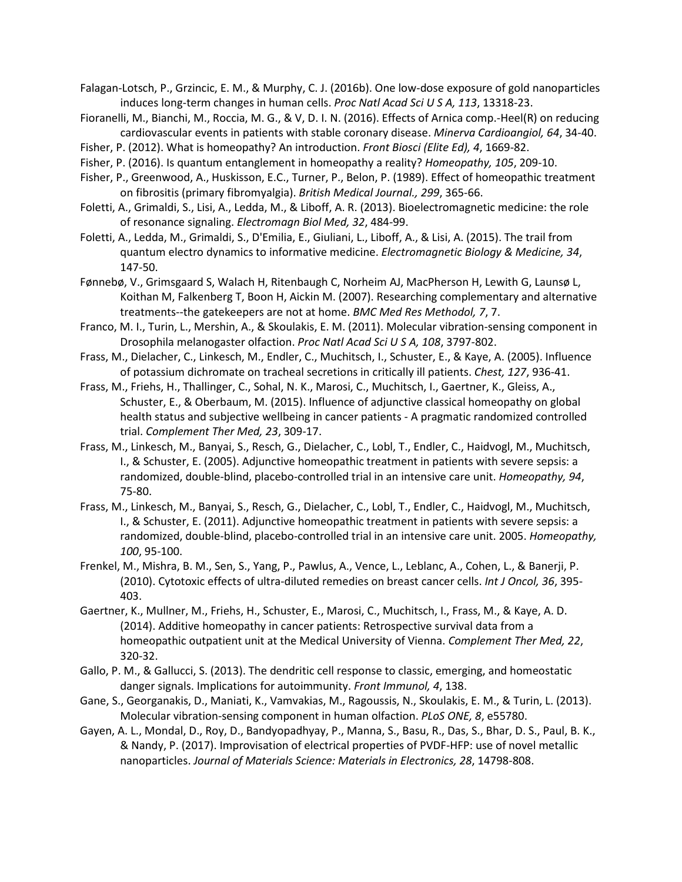Falagan-Lotsch, P., Grzincic, E. M., & Murphy, C. J. (2016b). One low-dose exposure of gold nanoparticles induces long-term changes in human cells. *Proc Natl Acad Sci U S A, 113*, 13318-23.

- Fioranelli, M., Bianchi, M., Roccia, M. G., & V, D. I. N. (2016). Effects of Arnica comp.-Heel(R) on reducing cardiovascular events in patients with stable coronary disease. *Minerva Cardioangiol, 64*, 34-40.
- Fisher, P. (2012). What is homeopathy? An introduction. *Front Biosci (Elite Ed), 4*, 1669-82.
- Fisher, P. (2016). Is quantum entanglement in homeopathy a reality? *Homeopathy, 105*, 209-10.
- Fisher, P., Greenwood, A., Huskisson, E.C., Turner, P., Belon, P. (1989). Effect of homeopathic treatment on fibrositis (primary fibromyalgia). *British Medical Journal., 299*, 365-66.
- Foletti, A., Grimaldi, S., Lisi, A., Ledda, M., & Liboff, A. R. (2013). Bioelectromagnetic medicine: the role of resonance signaling. *Electromagn Biol Med, 32*, 484-99.
- Foletti, A., Ledda, M., Grimaldi, S., D'Emilia, E., Giuliani, L., Liboff, A., & Lisi, A. (2015). The trail from quantum electro dynamics to informative medicine. *Electromagnetic Biology & Medicine, 34*, 147-50.
- Fønnebø, V., Grimsgaard S, Walach H, Ritenbaugh C, Norheim AJ, MacPherson H, Lewith G, Launsø L, Koithan M, Falkenberg T, Boon H, Aickin M. (2007). Researching complementary and alternative treatments--the gatekeepers are not at home. *BMC Med Res Methodol, 7*, 7.
- Franco, M. I., Turin, L., Mershin, A., & Skoulakis, E. M. (2011). Molecular vibration-sensing component in Drosophila melanogaster olfaction. *Proc Natl Acad Sci U S A, 108*, 3797-802.
- Frass, M., Dielacher, C., Linkesch, M., Endler, C., Muchitsch, I., Schuster, E., & Kaye, A. (2005). Influence of potassium dichromate on tracheal secretions in critically ill patients. *Chest, 127*, 936-41.
- Frass, M., Friehs, H., Thallinger, C., Sohal, N. K., Marosi, C., Muchitsch, I., Gaertner, K., Gleiss, A., Schuster, E., & Oberbaum, M. (2015). Influence of adjunctive classical homeopathy on global health status and subjective wellbeing in cancer patients - A pragmatic randomized controlled trial. *Complement Ther Med, 23*, 309-17.
- Frass, M., Linkesch, M., Banyai, S., Resch, G., Dielacher, C., Lobl, T., Endler, C., Haidvogl, M., Muchitsch, I., & Schuster, E. (2005). Adjunctive homeopathic treatment in patients with severe sepsis: a randomized, double-blind, placebo-controlled trial in an intensive care unit. *Homeopathy, 94*, 75-80.
- Frass, M., Linkesch, M., Banyai, S., Resch, G., Dielacher, C., Lobl, T., Endler, C., Haidvogl, M., Muchitsch, I., & Schuster, E. (2011). Adjunctive homeopathic treatment in patients with severe sepsis: a randomized, double-blind, placebo-controlled trial in an intensive care unit. 2005. *Homeopathy, 100*, 95-100.
- Frenkel, M., Mishra, B. M., Sen, S., Yang, P., Pawlus, A., Vence, L., Leblanc, A., Cohen, L., & Banerji, P. (2010). Cytotoxic effects of ultra-diluted remedies on breast cancer cells. *Int J Oncol, 36*, 395- 403.
- Gaertner, K., Mullner, M., Friehs, H., Schuster, E., Marosi, C., Muchitsch, I., Frass, M., & Kaye, A. D. (2014). Additive homeopathy in cancer patients: Retrospective survival data from a homeopathic outpatient unit at the Medical University of Vienna. *Complement Ther Med, 22*, 320-32.
- Gallo, P. M., & Gallucci, S. (2013). The dendritic cell response to classic, emerging, and homeostatic danger signals. Implications for autoimmunity. *Front Immunol, 4*, 138.
- Gane, S., Georganakis, D., Maniati, K., Vamvakias, M., Ragoussis, N., Skoulakis, E. M., & Turin, L. (2013). Molecular vibration-sensing component in human olfaction. *PLoS ONE, 8*, e55780.
- Gayen, A. L., Mondal, D., Roy, D., Bandyopadhyay, P., Manna, S., Basu, R., Das, S., Bhar, D. S., Paul, B. K., & Nandy, P. (2017). Improvisation of electrical properties of PVDF-HFP: use of novel metallic nanoparticles. *Journal of Materials Science: Materials in Electronics, 28*, 14798-808.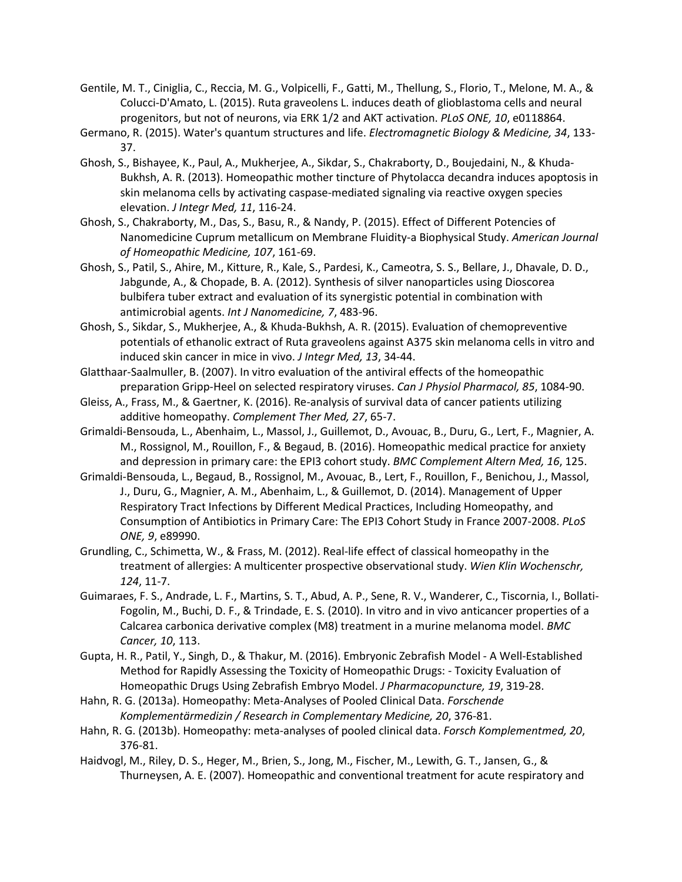- Gentile, M. T., Ciniglia, C., Reccia, M. G., Volpicelli, F., Gatti, M., Thellung, S., Florio, T., Melone, M. A., & Colucci-D'Amato, L. (2015). Ruta graveolens L. induces death of glioblastoma cells and neural progenitors, but not of neurons, via ERK 1/2 and AKT activation. *PLoS ONE, 10*, e0118864.
- Germano, R. (2015). Water's quantum structures and life. *Electromagnetic Biology & Medicine, 34*, 133- 37.
- Ghosh, S., Bishayee, K., Paul, A., Mukherjee, A., Sikdar, S., Chakraborty, D., Boujedaini, N., & Khuda-Bukhsh, A. R. (2013). Homeopathic mother tincture of Phytolacca decandra induces apoptosis in skin melanoma cells by activating caspase-mediated signaling via reactive oxygen species elevation. *J Integr Med, 11*, 116-24.
- Ghosh, S., Chakraborty, M., Das, S., Basu, R., & Nandy, P. (2015). Effect of Different Potencies of Nanomedicine Cuprum metallicum on Membrane Fluidity-a Biophysical Study. *American Journal of Homeopathic Medicine, 107*, 161-69.
- Ghosh, S., Patil, S., Ahire, M., Kitture, R., Kale, S., Pardesi, K., Cameotra, S. S., Bellare, J., Dhavale, D. D., Jabgunde, A., & Chopade, B. A. (2012). Synthesis of silver nanoparticles using Dioscorea bulbifera tuber extract and evaluation of its synergistic potential in combination with antimicrobial agents. *Int J Nanomedicine, 7*, 483-96.
- Ghosh, S., Sikdar, S., Mukherjee, A., & Khuda-Bukhsh, A. R. (2015). Evaluation of chemopreventive potentials of ethanolic extract of Ruta graveolens against A375 skin melanoma cells in vitro and induced skin cancer in mice in vivo. *J Integr Med, 13*, 34-44.
- Glatthaar-Saalmuller, B. (2007). In vitro evaluation of the antiviral effects of the homeopathic preparation Gripp-Heel on selected respiratory viruses. *Can J Physiol Pharmacol, 85*, 1084-90.
- Gleiss, A., Frass, M., & Gaertner, K. (2016). Re-analysis of survival data of cancer patients utilizing additive homeopathy. *Complement Ther Med, 27*, 65-7.
- Grimaldi-Bensouda, L., Abenhaim, L., Massol, J., Guillemot, D., Avouac, B., Duru, G., Lert, F., Magnier, A. M., Rossignol, M., Rouillon, F., & Begaud, B. (2016). Homeopathic medical practice for anxiety and depression in primary care: the EPI3 cohort study. *BMC Complement Altern Med, 16*, 125.
- Grimaldi-Bensouda, L., Begaud, B., Rossignol, M., Avouac, B., Lert, F., Rouillon, F., Benichou, J., Massol, J., Duru, G., Magnier, A. M., Abenhaim, L., & Guillemot, D. (2014). Management of Upper Respiratory Tract Infections by Different Medical Practices, Including Homeopathy, and Consumption of Antibiotics in Primary Care: The EPI3 Cohort Study in France 2007-2008. *PLoS ONE, 9*, e89990.
- Grundling, C., Schimetta, W., & Frass, M. (2012). Real-life effect of classical homeopathy in the treatment of allergies: A multicenter prospective observational study. *Wien Klin Wochenschr, 124*, 11-7.
- Guimaraes, F. S., Andrade, L. F., Martins, S. T., Abud, A. P., Sene, R. V., Wanderer, C., Tiscornia, I., Bollati-Fogolin, M., Buchi, D. F., & Trindade, E. S. (2010). In vitro and in vivo anticancer properties of a Calcarea carbonica derivative complex (M8) treatment in a murine melanoma model. *BMC Cancer, 10*, 113.
- Gupta, H. R., Patil, Y., Singh, D., & Thakur, M. (2016). Embryonic Zebrafish Model A Well-Established Method for Rapidly Assessing the Toxicity of Homeopathic Drugs: - Toxicity Evaluation of Homeopathic Drugs Using Zebrafish Embryo Model. *J Pharmacopuncture, 19*, 319-28.
- Hahn, R. G. (2013a). Homeopathy: Meta-Analyses of Pooled Clinical Data. *Forschende Komplementärmedizin / Research in Complementary Medicine, 20*, 376-81.
- Hahn, R. G. (2013b). Homeopathy: meta-analyses of pooled clinical data. *Forsch Komplementmed, 20*, 376-81.
- Haidvogl, M., Riley, D. S., Heger, M., Brien, S., Jong, M., Fischer, M., Lewith, G. T., Jansen, G., & Thurneysen, A. E. (2007). Homeopathic and conventional treatment for acute respiratory and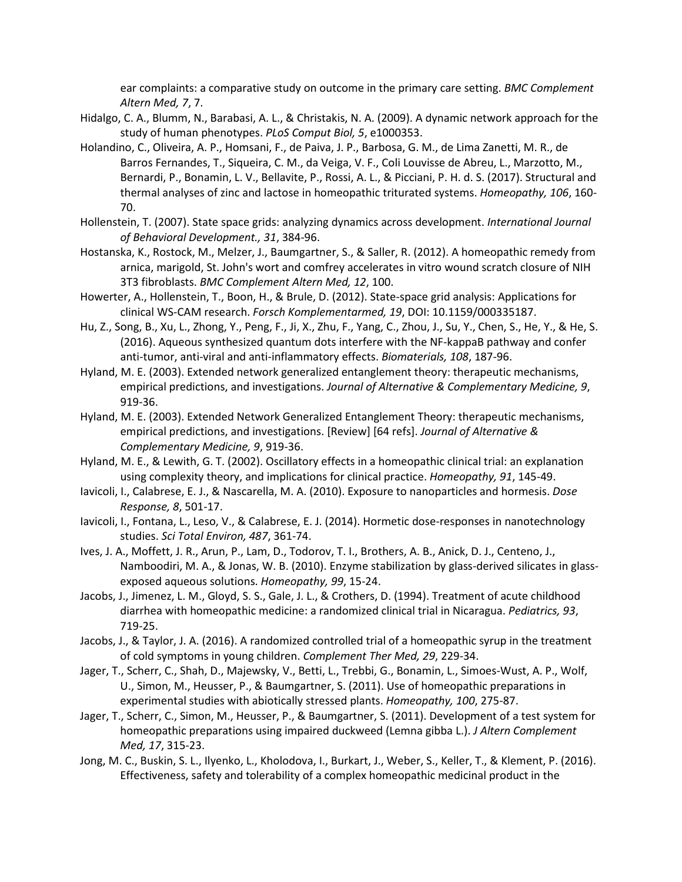ear complaints: a comparative study on outcome in the primary care setting. *BMC Complement Altern Med, 7*, 7.

- Hidalgo, C. A., Blumm, N., Barabasi, A. L., & Christakis, N. A. (2009). A dynamic network approach for the study of human phenotypes. *PLoS Comput Biol, 5*, e1000353.
- Holandino, C., Oliveira, A. P., Homsani, F., de Paiva, J. P., Barbosa, G. M., de Lima Zanetti, M. R., de Barros Fernandes, T., Siqueira, C. M., da Veiga, V. F., Coli Louvisse de Abreu, L., Marzotto, M., Bernardi, P., Bonamin, L. V., Bellavite, P., Rossi, A. L., & Picciani, P. H. d. S. (2017). Structural and thermal analyses of zinc and lactose in homeopathic triturated systems. *Homeopathy, 106*, 160- 70.
- Hollenstein, T. (2007). State space grids: analyzing dynamics across development. *International Journal of Behavioral Development., 31*, 384-96.
- Hostanska, K., Rostock, M., Melzer, J., Baumgartner, S., & Saller, R. (2012). A homeopathic remedy from arnica, marigold, St. John's wort and comfrey accelerates in vitro wound scratch closure of NIH 3T3 fibroblasts. *BMC Complement Altern Med, 12*, 100.
- Howerter, A., Hollenstein, T., Boon, H., & Brule, D. (2012). State-space grid analysis: Applications for clinical WS-CAM research. *Forsch Komplementarmed, 19*, DOI: 10.1159/000335187.
- Hu, Z., Song, B., Xu, L., Zhong, Y., Peng, F., Ji, X., Zhu, F., Yang, C., Zhou, J., Su, Y., Chen, S., He, Y., & He, S. (2016). Aqueous synthesized quantum dots interfere with the NF-kappaB pathway and confer anti-tumor, anti-viral and anti-inflammatory effects. *Biomaterials, 108*, 187-96.
- Hyland, M. E. (2003). Extended network generalized entanglement theory: therapeutic mechanisms, empirical predictions, and investigations. *Journal of Alternative & Complementary Medicine, 9*, 919-36.
- Hyland, M. E. (2003). Extended Network Generalized Entanglement Theory: therapeutic mechanisms, empirical predictions, and investigations. [Review] [64 refs]. *Journal of Alternative & Complementary Medicine, 9*, 919-36.
- Hyland, M. E., & Lewith, G. T. (2002). Oscillatory effects in a homeopathic clinical trial: an explanation using complexity theory, and implications for clinical practice. *Homeopathy, 91*, 145-49.
- Iavicoli, I., Calabrese, E. J., & Nascarella, M. A. (2010). Exposure to nanoparticles and hormesis. *Dose Response, 8*, 501-17.
- Iavicoli, I., Fontana, L., Leso, V., & Calabrese, E. J. (2014). Hormetic dose-responses in nanotechnology studies. *Sci Total Environ, 487*, 361-74.
- Ives, J. A., Moffett, J. R., Arun, P., Lam, D., Todorov, T. I., Brothers, A. B., Anick, D. J., Centeno, J., Namboodiri, M. A., & Jonas, W. B. (2010). Enzyme stabilization by glass-derived silicates in glassexposed aqueous solutions. *Homeopathy, 99*, 15-24.
- Jacobs, J., Jimenez, L. M., Gloyd, S. S., Gale, J. L., & Crothers, D. (1994). Treatment of acute childhood diarrhea with homeopathic medicine: a randomized clinical trial in Nicaragua. *Pediatrics, 93*, 719-25.
- Jacobs, J., & Taylor, J. A. (2016). A randomized controlled trial of a homeopathic syrup in the treatment of cold symptoms in young children. *Complement Ther Med, 29*, 229-34.
- Jager, T., Scherr, C., Shah, D., Majewsky, V., Betti, L., Trebbi, G., Bonamin, L., Simoes-Wust, A. P., Wolf, U., Simon, M., Heusser, P., & Baumgartner, S. (2011). Use of homeopathic preparations in experimental studies with abiotically stressed plants. *Homeopathy, 100*, 275-87.
- Jager, T., Scherr, C., Simon, M., Heusser, P., & Baumgartner, S. (2011). Development of a test system for homeopathic preparations using impaired duckweed (Lemna gibba L.). *J Altern Complement Med, 17*, 315-23.
- Jong, M. C., Buskin, S. L., Ilyenko, L., Kholodova, I., Burkart, J., Weber, S., Keller, T., & Klement, P. (2016). Effectiveness, safety and tolerability of a complex homeopathic medicinal product in the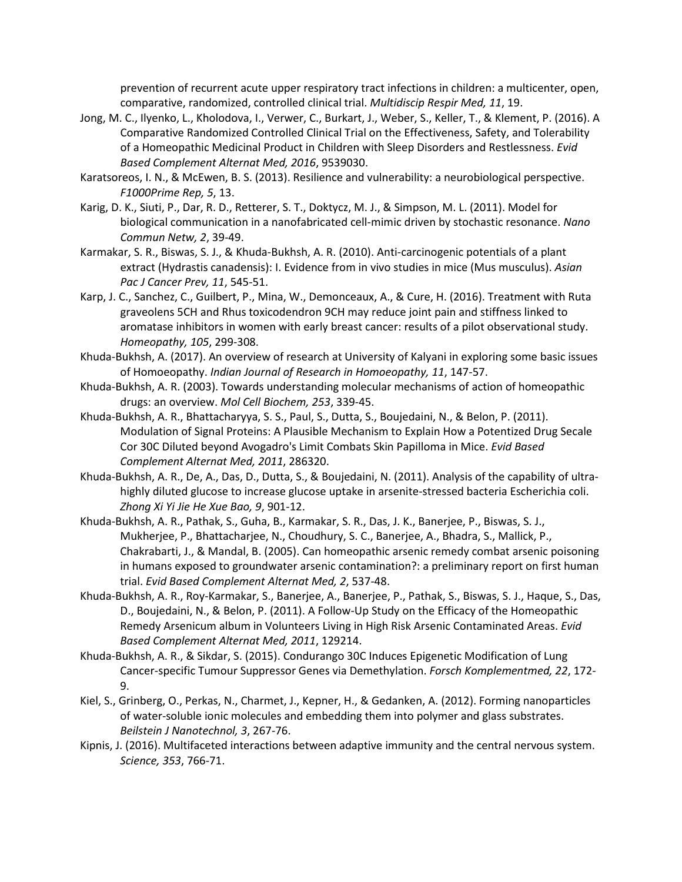prevention of recurrent acute upper respiratory tract infections in children: a multicenter, open, comparative, randomized, controlled clinical trial. *Multidiscip Respir Med, 11*, 19.

- Jong, M. C., Ilyenko, L., Kholodova, I., Verwer, C., Burkart, J., Weber, S., Keller, T., & Klement, P. (2016). A Comparative Randomized Controlled Clinical Trial on the Effectiveness, Safety, and Tolerability of a Homeopathic Medicinal Product in Children with Sleep Disorders and Restlessness. *Evid Based Complement Alternat Med, 2016*, 9539030.
- Karatsoreos, I. N., & McEwen, B. S. (2013). Resilience and vulnerability: a neurobiological perspective. *F1000Prime Rep, 5*, 13.
- Karig, D. K., Siuti, P., Dar, R. D., Retterer, S. T., Doktycz, M. J., & Simpson, M. L. (2011). Model for biological communication in a nanofabricated cell-mimic driven by stochastic resonance. *Nano Commun Netw, 2*, 39-49.
- Karmakar, S. R., Biswas, S. J., & Khuda-Bukhsh, A. R. (2010). Anti-carcinogenic potentials of a plant extract (Hydrastis canadensis): I. Evidence from in vivo studies in mice (Mus musculus). *Asian Pac J Cancer Prev, 11*, 545-51.
- Karp, J. C., Sanchez, C., Guilbert, P., Mina, W., Demonceaux, A., & Cure, H. (2016). Treatment with Ruta graveolens 5CH and Rhus toxicodendron 9CH may reduce joint pain and stiffness linked to aromatase inhibitors in women with early breast cancer: results of a pilot observational study. *Homeopathy, 105*, 299-308.
- Khuda-Bukhsh, A. (2017). An overview of research at University of Kalyani in exploring some basic issues of Homoeopathy. *Indian Journal of Research in Homoeopathy, 11*, 147-57.
- Khuda-Bukhsh, A. R. (2003). Towards understanding molecular mechanisms of action of homeopathic drugs: an overview. *Mol Cell Biochem, 253*, 339-45.
- Khuda-Bukhsh, A. R., Bhattacharyya, S. S., Paul, S., Dutta, S., Boujedaini, N., & Belon, P. (2011). Modulation of Signal Proteins: A Plausible Mechanism to Explain How a Potentized Drug Secale Cor 30C Diluted beyond Avogadro's Limit Combats Skin Papilloma in Mice. *Evid Based Complement Alternat Med, 2011*, 286320.
- Khuda-Bukhsh, A. R., De, A., Das, D., Dutta, S., & Boujedaini, N. (2011). Analysis of the capability of ultrahighly diluted glucose to increase glucose uptake in arsenite-stressed bacteria Escherichia coli. *Zhong Xi Yi Jie He Xue Bao, 9*, 901-12.
- Khuda-Bukhsh, A. R., Pathak, S., Guha, B., Karmakar, S. R., Das, J. K., Banerjee, P., Biswas, S. J., Mukherjee, P., Bhattacharjee, N., Choudhury, S. C., Banerjee, A., Bhadra, S., Mallick, P., Chakrabarti, J., & Mandal, B. (2005). Can homeopathic arsenic remedy combat arsenic poisoning in humans exposed to groundwater arsenic contamination?: a preliminary report on first human trial. *Evid Based Complement Alternat Med, 2*, 537-48.
- Khuda-Bukhsh, A. R., Roy-Karmakar, S., Banerjee, A., Banerjee, P., Pathak, S., Biswas, S. J., Haque, S., Das, D., Boujedaini, N., & Belon, P. (2011). A Follow-Up Study on the Efficacy of the Homeopathic Remedy Arsenicum album in Volunteers Living in High Risk Arsenic Contaminated Areas. *Evid Based Complement Alternat Med, 2011*, 129214.
- Khuda-Bukhsh, A. R., & Sikdar, S. (2015). Condurango 30C Induces Epigenetic Modification of Lung Cancer-specific Tumour Suppressor Genes via Demethylation. *Forsch Komplementmed, 22*, 172- 9.
- Kiel, S., Grinberg, O., Perkas, N., Charmet, J., Kepner, H., & Gedanken, A. (2012). Forming nanoparticles of water-soluble ionic molecules and embedding them into polymer and glass substrates. *Beilstein J Nanotechnol, 3*, 267-76.
- Kipnis, J. (2016). Multifaceted interactions between adaptive immunity and the central nervous system. *Science, 353*, 766-71.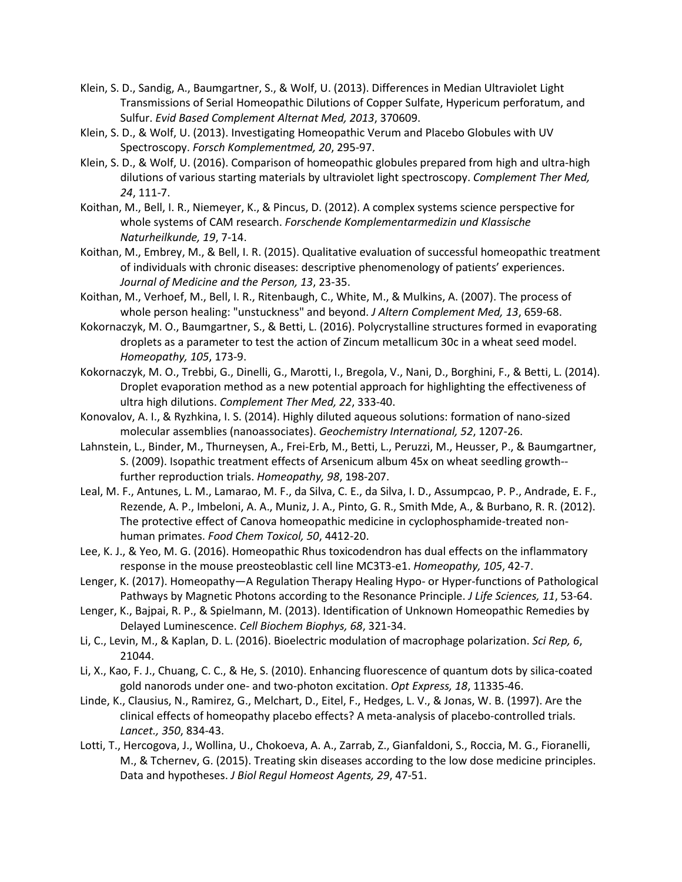- Klein, S. D., Sandig, A., Baumgartner, S., & Wolf, U. (2013). Differences in Median Ultraviolet Light Transmissions of Serial Homeopathic Dilutions of Copper Sulfate, Hypericum perforatum, and Sulfur. *Evid Based Complement Alternat Med, 2013*, 370609.
- Klein, S. D., & Wolf, U. (2013). Investigating Homeopathic Verum and Placebo Globules with UV Spectroscopy. *Forsch Komplementmed, 20*, 295-97.
- Klein, S. D., & Wolf, U. (2016). Comparison of homeopathic globules prepared from high and ultra-high dilutions of various starting materials by ultraviolet light spectroscopy. *Complement Ther Med, 24*, 111-7.
- Koithan, M., Bell, I. R., Niemeyer, K., & Pincus, D. (2012). A complex systems science perspective for whole systems of CAM research. *Forschende Komplementarmedizin und Klassische Naturheilkunde, 19*, 7-14.
- Koithan, M., Embrey, M., & Bell, I. R. (2015). Qualitative evaluation of successful homeopathic treatment of individuals with chronic diseases: descriptive phenomenology of patients' experiences. *Journal of Medicine and the Person, 13*, 23-35.
- Koithan, M., Verhoef, M., Bell, I. R., Ritenbaugh, C., White, M., & Mulkins, A. (2007). The process of whole person healing: "unstuckness" and beyond. *J Altern Complement Med, 13*, 659-68.
- Kokornaczyk, M. O., Baumgartner, S., & Betti, L. (2016). Polycrystalline structures formed in evaporating droplets as a parameter to test the action of Zincum metallicum 30c in a wheat seed model. *Homeopathy, 105*, 173-9.
- Kokornaczyk, M. O., Trebbi, G., Dinelli, G., Marotti, I., Bregola, V., Nani, D., Borghini, F., & Betti, L. (2014). Droplet evaporation method as a new potential approach for highlighting the effectiveness of ultra high dilutions. *Complement Ther Med, 22*, 333-40.
- Konovalov, A. I., & Ryzhkina, I. S. (2014). Highly diluted aqueous solutions: formation of nano-sized molecular assemblies (nanoassociates). *Geochemistry International, 52*, 1207-26.
- Lahnstein, L., Binder, M., Thurneysen, A., Frei-Erb, M., Betti, L., Peruzzi, M., Heusser, P., & Baumgartner, S. (2009). Isopathic treatment effects of Arsenicum album 45x on wheat seedling growth- further reproduction trials. *Homeopathy, 98*, 198-207.
- Leal, M. F., Antunes, L. M., Lamarao, M. F., da Silva, C. E., da Silva, I. D., Assumpcao, P. P., Andrade, E. F., Rezende, A. P., Imbeloni, A. A., Muniz, J. A., Pinto, G. R., Smith Mde, A., & Burbano, R. R. (2012). The protective effect of Canova homeopathic medicine in cyclophosphamide-treated nonhuman primates. *Food Chem Toxicol, 50*, 4412-20.
- Lee, K. J., & Yeo, M. G. (2016). Homeopathic Rhus toxicodendron has dual effects on the inflammatory response in the mouse preosteoblastic cell line MC3T3-e1. *Homeopathy, 105*, 42-7.
- Lenger, K. (2017). Homeopathy—A Regulation Therapy Healing Hypo- or Hyper-functions of Pathological Pathways by Magnetic Photons according to the Resonance Principle. *J Life Sciences, 11*, 53-64.
- Lenger, K., Bajpai, R. P., & Spielmann, M. (2013). Identification of Unknown Homeopathic Remedies by Delayed Luminescence. *Cell Biochem Biophys, 68*, 321-34.
- Li, C., Levin, M., & Kaplan, D. L. (2016). Bioelectric modulation of macrophage polarization. *Sci Rep, 6*, 21044.
- Li, X., Kao, F. J., Chuang, C. C., & He, S. (2010). Enhancing fluorescence of quantum dots by silica-coated gold nanorods under one- and two-photon excitation. *Opt Express, 18*, 11335-46.
- Linde, K., Clausius, N., Ramirez, G., Melchart, D., Eitel, F., Hedges, L. V., & Jonas, W. B. (1997). Are the clinical effects of homeopathy placebo effects? A meta-analysis of placebo-controlled trials. *Lancet., 350*, 834-43.
- Lotti, T., Hercogova, J., Wollina, U., Chokoeva, A. A., Zarrab, Z., Gianfaldoni, S., Roccia, M. G., Fioranelli, M., & Tchernev, G. (2015). Treating skin diseases according to the low dose medicine principles. Data and hypotheses. *J Biol Regul Homeost Agents, 29*, 47-51.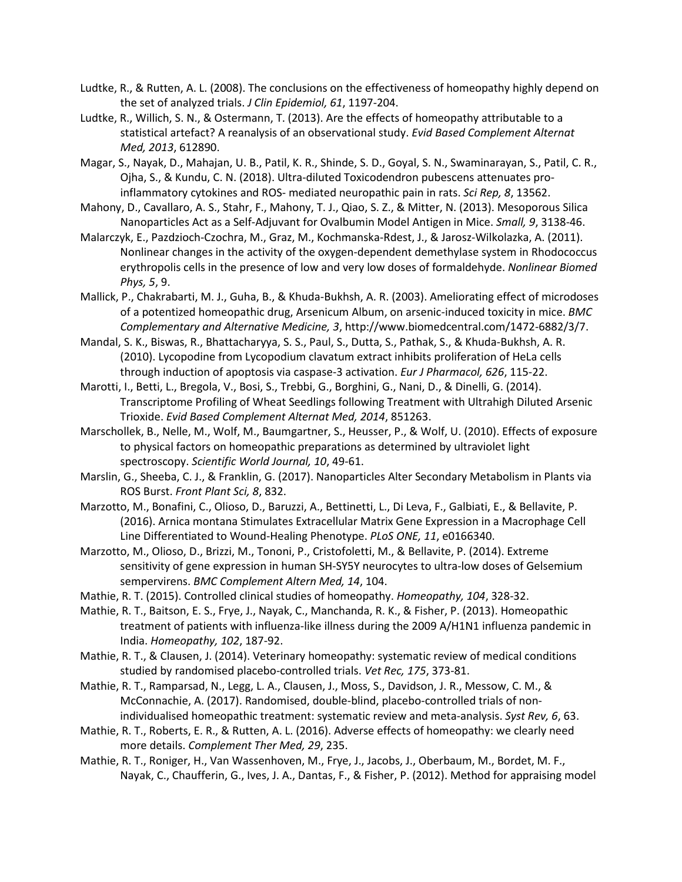- Ludtke, R., & Rutten, A. L. (2008). The conclusions on the effectiveness of homeopathy highly depend on the set of analyzed trials. *J Clin Epidemiol, 61*, 1197-204.
- Ludtke, R., Willich, S. N., & Ostermann, T. (2013). Are the effects of homeopathy attributable to a statistical artefact? A reanalysis of an observational study. *Evid Based Complement Alternat Med, 2013*, 612890.
- Magar, S., Nayak, D., Mahajan, U. B., Patil, K. R., Shinde, S. D., Goyal, S. N., Swaminarayan, S., Patil, C. R., Ojha, S., & Kundu, C. N. (2018). Ultra-diluted Toxicodendron pubescens attenuates proinflammatory cytokines and ROS- mediated neuropathic pain in rats. *Sci Rep, 8*, 13562.
- Mahony, D., Cavallaro, A. S., Stahr, F., Mahony, T. J., Qiao, S. Z., & Mitter, N. (2013). Mesoporous Silica Nanoparticles Act as a Self-Adjuvant for Ovalbumin Model Antigen in Mice. *Small, 9*, 3138-46.
- Malarczyk, E., Pazdzioch-Czochra, M., Graz, M., Kochmanska-Rdest, J., & Jarosz-Wilkolazka, A. (2011). Nonlinear changes in the activity of the oxygen-dependent demethylase system in Rhodococcus erythropolis cells in the presence of low and very low doses of formaldehyde. *Nonlinear Biomed Phys, 5*, 9.
- Mallick, P., Chakrabarti, M. J., Guha, B., & Khuda-Bukhsh, A. R. (2003). Ameliorating effect of microdoses of a potentized homeopathic drug, Arsenicum Album, on arsenic-induced toxicity in mice. *BMC Complementary and Alternative Medicine, 3*, http://www.biomedcentral.com/1472-6882/3/7.
- Mandal, S. K., Biswas, R., Bhattacharyya, S. S., Paul, S., Dutta, S., Pathak, S., & Khuda-Bukhsh, A. R. (2010). Lycopodine from Lycopodium clavatum extract inhibits proliferation of HeLa cells through induction of apoptosis via caspase-3 activation. *Eur J Pharmacol, 626*, 115-22.
- Marotti, I., Betti, L., Bregola, V., Bosi, S., Trebbi, G., Borghini, G., Nani, D., & Dinelli, G. (2014). Transcriptome Profiling of Wheat Seedlings following Treatment with Ultrahigh Diluted Arsenic Trioxide. *Evid Based Complement Alternat Med, 2014*, 851263.
- Marschollek, B., Nelle, M., Wolf, M., Baumgartner, S., Heusser, P., & Wolf, U. (2010). Effects of exposure to physical factors on homeopathic preparations as determined by ultraviolet light spectroscopy. *Scientific World Journal, 10*, 49-61.
- Marslin, G., Sheeba, C. J., & Franklin, G. (2017). Nanoparticles Alter Secondary Metabolism in Plants via ROS Burst. *Front Plant Sci, 8*, 832.
- Marzotto, M., Bonafini, C., Olioso, D., Baruzzi, A., Bettinetti, L., Di Leva, F., Galbiati, E., & Bellavite, P. (2016). Arnica montana Stimulates Extracellular Matrix Gene Expression in a Macrophage Cell Line Differentiated to Wound-Healing Phenotype. *PLoS ONE, 11*, e0166340.
- Marzotto, M., Olioso, D., Brizzi, M., Tononi, P., Cristofoletti, M., & Bellavite, P. (2014). Extreme sensitivity of gene expression in human SH-SY5Y neurocytes to ultra-low doses of Gelsemium sempervirens. *BMC Complement Altern Med, 14*, 104.
- Mathie, R. T. (2015). Controlled clinical studies of homeopathy. *Homeopathy, 104*, 328-32.
- Mathie, R. T., Baitson, E. S., Frye, J., Nayak, C., Manchanda, R. K., & Fisher, P. (2013). Homeopathic treatment of patients with influenza-like illness during the 2009 A/H1N1 influenza pandemic in India. *Homeopathy, 102*, 187-92.
- Mathie, R. T., & Clausen, J. (2014). Veterinary homeopathy: systematic review of medical conditions studied by randomised placebo-controlled trials. *Vet Rec, 175*, 373-81.
- Mathie, R. T., Ramparsad, N., Legg, L. A., Clausen, J., Moss, S., Davidson, J. R., Messow, C. M., & McConnachie, A. (2017). Randomised, double-blind, placebo-controlled trials of nonindividualised homeopathic treatment: systematic review and meta-analysis. *Syst Rev, 6*, 63.
- Mathie, R. T., Roberts, E. R., & Rutten, A. L. (2016). Adverse effects of homeopathy: we clearly need more details. *Complement Ther Med, 29*, 235.
- Mathie, R. T., Roniger, H., Van Wassenhoven, M., Frye, J., Jacobs, J., Oberbaum, M., Bordet, M. F., Nayak, C., Chaufferin, G., Ives, J. A., Dantas, F., & Fisher, P. (2012). Method for appraising model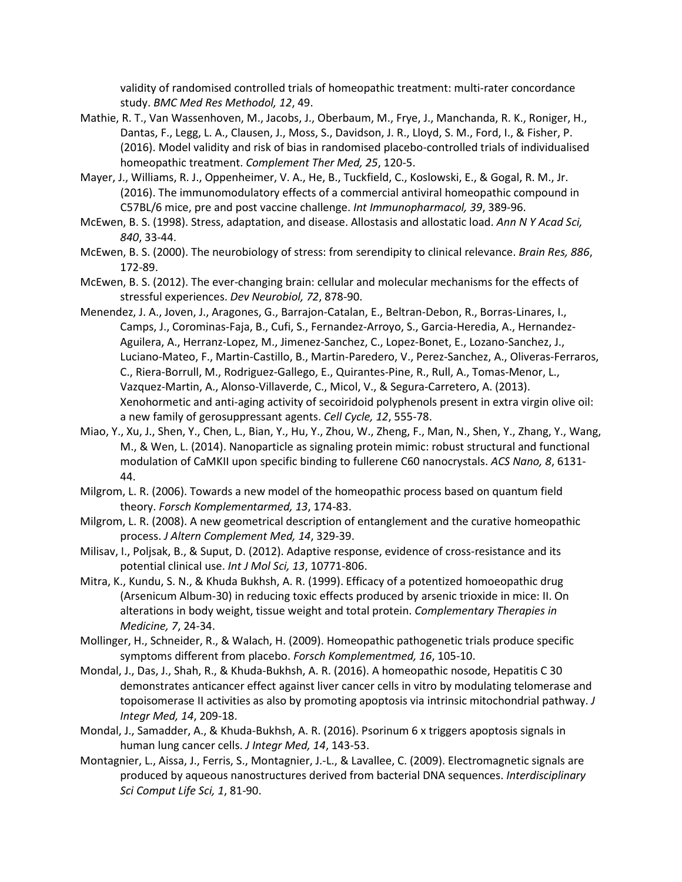validity of randomised controlled trials of homeopathic treatment: multi-rater concordance study. *BMC Med Res Methodol, 12*, 49.

- Mathie, R. T., Van Wassenhoven, M., Jacobs, J., Oberbaum, M., Frye, J., Manchanda, R. K., Roniger, H., Dantas, F., Legg, L. A., Clausen, J., Moss, S., Davidson, J. R., Lloyd, S. M., Ford, I., & Fisher, P. (2016). Model validity and risk of bias in randomised placebo-controlled trials of individualised homeopathic treatment. *Complement Ther Med, 25*, 120-5.
- Mayer, J., Williams, R. J., Oppenheimer, V. A., He, B., Tuckfield, C., Koslowski, E., & Gogal, R. M., Jr. (2016). The immunomodulatory effects of a commercial antiviral homeopathic compound in C57BL/6 mice, pre and post vaccine challenge. *Int Immunopharmacol, 39*, 389-96.
- McEwen, B. S. (1998). Stress, adaptation, and disease. Allostasis and allostatic load. *Ann N Y Acad Sci, 840*, 33-44.
- McEwen, B. S. (2000). The neurobiology of stress: from serendipity to clinical relevance. *Brain Res, 886*, 172-89.
- McEwen, B. S. (2012). The ever-changing brain: cellular and molecular mechanisms for the effects of stressful experiences. *Dev Neurobiol, 72*, 878-90.
- Menendez, J. A., Joven, J., Aragones, G., Barrajon-Catalan, E., Beltran-Debon, R., Borras-Linares, I., Camps, J., Corominas-Faja, B., Cufi, S., Fernandez-Arroyo, S., Garcia-Heredia, A., Hernandez-Aguilera, A., Herranz-Lopez, M., Jimenez-Sanchez, C., Lopez-Bonet, E., Lozano-Sanchez, J., Luciano-Mateo, F., Martin-Castillo, B., Martin-Paredero, V., Perez-Sanchez, A., Oliveras-Ferraros, C., Riera-Borrull, M., Rodriguez-Gallego, E., Quirantes-Pine, R., Rull, A., Tomas-Menor, L., Vazquez-Martin, A., Alonso-Villaverde, C., Micol, V., & Segura-Carretero, A. (2013). Xenohormetic and anti-aging activity of secoiridoid polyphenols present in extra virgin olive oil: a new family of gerosuppressant agents. *Cell Cycle, 12*, 555-78.
- Miao, Y., Xu, J., Shen, Y., Chen, L., Bian, Y., Hu, Y., Zhou, W., Zheng, F., Man, N., Shen, Y., Zhang, Y., Wang, M., & Wen, L. (2014). Nanoparticle as signaling protein mimic: robust structural and functional modulation of CaMKII upon specific binding to fullerene C60 nanocrystals. *ACS Nano, 8*, 6131- 44.
- Milgrom, L. R. (2006). Towards a new model of the homeopathic process based on quantum field theory. *Forsch Komplementarmed, 13*, 174-83.
- Milgrom, L. R. (2008). A new geometrical description of entanglement and the curative homeopathic process. *J Altern Complement Med, 14*, 329-39.
- Milisav, I., Poljsak, B., & Suput, D. (2012). Adaptive response, evidence of cross-resistance and its potential clinical use. *Int J Mol Sci, 13*, 10771-806.
- Mitra, K., Kundu, S. N., & Khuda Bukhsh, A. R. (1999). Efficacy of a potentized homoeopathic drug (Arsenicum Album-30) in reducing toxic effects produced by arsenic trioxide in mice: II. On alterations in body weight, tissue weight and total protein. *Complementary Therapies in Medicine, 7*, 24-34.
- Mollinger, H., Schneider, R., & Walach, H. (2009). Homeopathic pathogenetic trials produce specific symptoms different from placebo. *Forsch Komplementmed, 16*, 105-10.
- Mondal, J., Das, J., Shah, R., & Khuda-Bukhsh, A. R. (2016). A homeopathic nosode, Hepatitis C 30 demonstrates anticancer effect against liver cancer cells in vitro by modulating telomerase and topoisomerase II activities as also by promoting apoptosis via intrinsic mitochondrial pathway. *J Integr Med, 14*, 209-18.
- Mondal, J., Samadder, A., & Khuda-Bukhsh, A. R. (2016). Psorinum 6 x triggers apoptosis signals in human lung cancer cells. *J Integr Med, 14*, 143-53.
- Montagnier, L., Aissa, J., Ferris, S., Montagnier, J.-L., & Lavallee, C. (2009). Electromagnetic signals are produced by aqueous nanostructures derived from bacterial DNA sequences. *Interdisciplinary Sci Comput Life Sci, 1*, 81-90.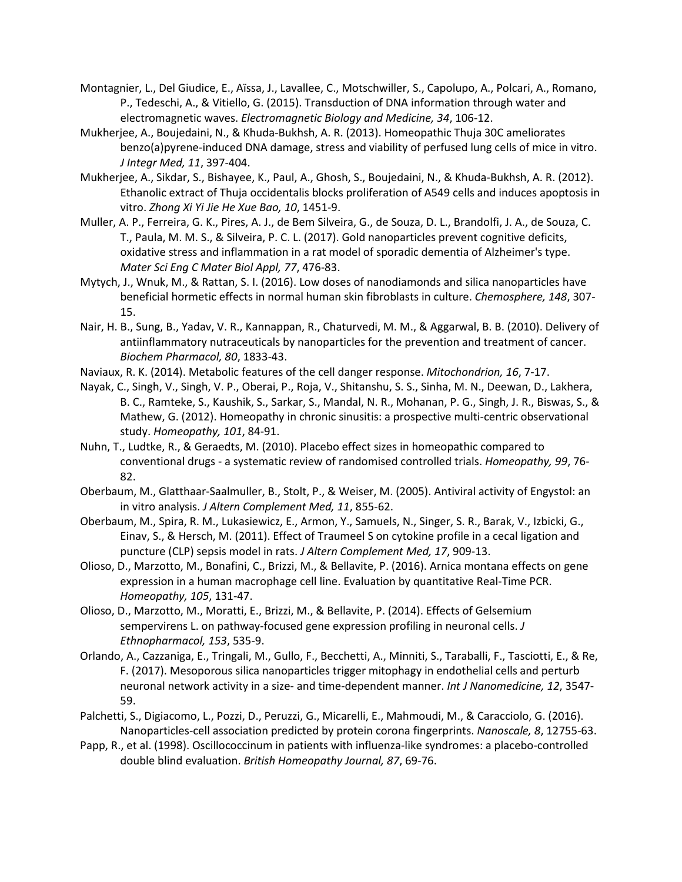- Montagnier, L., Del Giudice, E., Aïssa, J., Lavallee, C., Motschwiller, S., Capolupo, A., Polcari, A., Romano, P., Tedeschi, A., & Vitiello, G. (2015). Transduction of DNA information through water and electromagnetic waves. *Electromagnetic Biology and Medicine, 34*, 106-12.
- Mukherjee, A., Boujedaini, N., & Khuda-Bukhsh, A. R. (2013). Homeopathic Thuja 30C ameliorates benzo(a)pyrene-induced DNA damage, stress and viability of perfused lung cells of mice in vitro. *J Integr Med, 11*, 397-404.
- Mukherjee, A., Sikdar, S., Bishayee, K., Paul, A., Ghosh, S., Boujedaini, N., & Khuda-Bukhsh, A. R. (2012). Ethanolic extract of Thuja occidentalis blocks proliferation of A549 cells and induces apoptosis in vitro. *Zhong Xi Yi Jie He Xue Bao, 10*, 1451-9.
- Muller, A. P., Ferreira, G. K., Pires, A. J., de Bem Silveira, G., de Souza, D. L., Brandolfi, J. A., de Souza, C. T., Paula, M. M. S., & Silveira, P. C. L. (2017). Gold nanoparticles prevent cognitive deficits, oxidative stress and inflammation in a rat model of sporadic dementia of Alzheimer's type. *Mater Sci Eng C Mater Biol Appl, 77*, 476-83.
- Mytych, J., Wnuk, M., & Rattan, S. I. (2016). Low doses of nanodiamonds and silica nanoparticles have beneficial hormetic effects in normal human skin fibroblasts in culture. *Chemosphere, 148*, 307- 15.
- Nair, H. B., Sung, B., Yadav, V. R., Kannappan, R., Chaturvedi, M. M., & Aggarwal, B. B. (2010). Delivery of antiinflammatory nutraceuticals by nanoparticles for the prevention and treatment of cancer. *Biochem Pharmacol, 80*, 1833-43.
- Naviaux, R. K. (2014). Metabolic features of the cell danger response. *Mitochondrion, 16*, 7-17.
- Nayak, C., Singh, V., Singh, V. P., Oberai, P., Roja, V., Shitanshu, S. S., Sinha, M. N., Deewan, D., Lakhera, B. C., Ramteke, S., Kaushik, S., Sarkar, S., Mandal, N. R., Mohanan, P. G., Singh, J. R., Biswas, S., & Mathew, G. (2012). Homeopathy in chronic sinusitis: a prospective multi-centric observational study. *Homeopathy, 101*, 84-91.
- Nuhn, T., Ludtke, R., & Geraedts, M. (2010). Placebo effect sizes in homeopathic compared to conventional drugs - a systematic review of randomised controlled trials. *Homeopathy, 99*, 76- 82.
- Oberbaum, M., Glatthaar-Saalmuller, B., Stolt, P., & Weiser, M. (2005). Antiviral activity of Engystol: an in vitro analysis. *J Altern Complement Med, 11*, 855-62.
- Oberbaum, M., Spira, R. M., Lukasiewicz, E., Armon, Y., Samuels, N., Singer, S. R., Barak, V., Izbicki, G., Einav, S., & Hersch, M. (2011). Effect of Traumeel S on cytokine profile in a cecal ligation and puncture (CLP) sepsis model in rats. *J Altern Complement Med, 17*, 909-13.
- Olioso, D., Marzotto, M., Bonafini, C., Brizzi, M., & Bellavite, P. (2016). Arnica montana effects on gene expression in a human macrophage cell line. Evaluation by quantitative Real-Time PCR. *Homeopathy, 105*, 131-47.
- Olioso, D., Marzotto, M., Moratti, E., Brizzi, M., & Bellavite, P. (2014). Effects of Gelsemium sempervirens L. on pathway-focused gene expression profiling in neuronal cells. *J Ethnopharmacol, 153*, 535-9.
- Orlando, A., Cazzaniga, E., Tringali, M., Gullo, F., Becchetti, A., Minniti, S., Taraballi, F., Tasciotti, E., & Re, F. (2017). Mesoporous silica nanoparticles trigger mitophagy in endothelial cells and perturb neuronal network activity in a size- and time-dependent manner. *Int J Nanomedicine, 12*, 3547- 59.
- Palchetti, S., Digiacomo, L., Pozzi, D., Peruzzi, G., Micarelli, E., Mahmoudi, M., & Caracciolo, G. (2016). Nanoparticles-cell association predicted by protein corona fingerprints. *Nanoscale, 8*, 12755-63.
- Papp, R., et al. (1998). Oscillococcinum in patients with influenza-like syndromes: a placebo-controlled double blind evaluation. *British Homeopathy Journal, 87*, 69-76.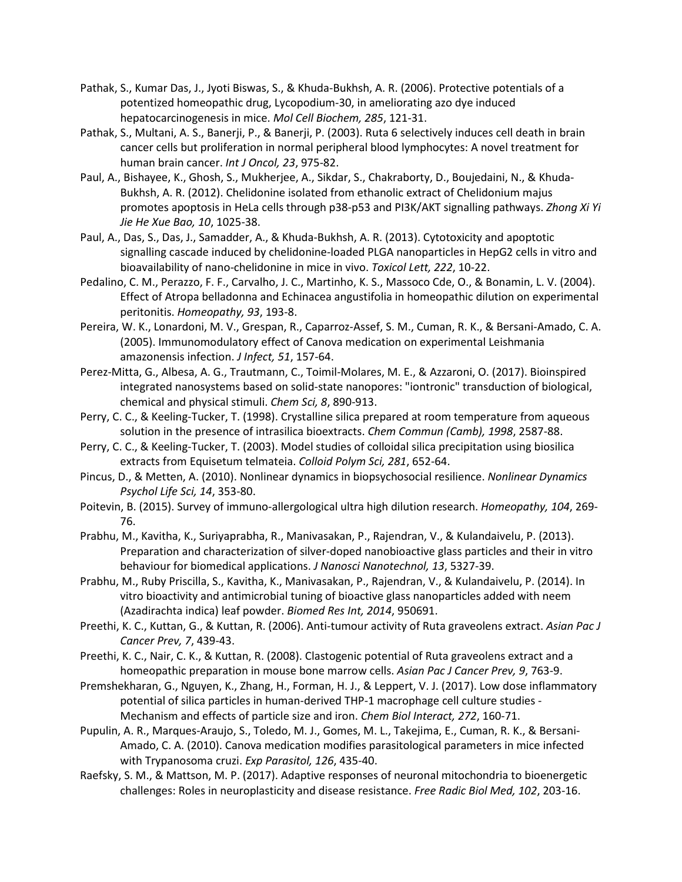- Pathak, S., Kumar Das, J., Jyoti Biswas, S., & Khuda-Bukhsh, A. R. (2006). Protective potentials of a potentized homeopathic drug, Lycopodium-30, in ameliorating azo dye induced hepatocarcinogenesis in mice. *Mol Cell Biochem, 285*, 121-31.
- Pathak, S., Multani, A. S., Banerji, P., & Banerji, P. (2003). Ruta 6 selectively induces cell death in brain cancer cells but proliferation in normal peripheral blood lymphocytes: A novel treatment for human brain cancer. *Int J Oncol, 23*, 975-82.
- Paul, A., Bishayee, K., Ghosh, S., Mukherjee, A., Sikdar, S., Chakraborty, D., Boujedaini, N., & Khuda-Bukhsh, A. R. (2012). Chelidonine isolated from ethanolic extract of Chelidonium majus promotes apoptosis in HeLa cells through p38-p53 and PI3K/AKT signalling pathways. *Zhong Xi Yi Jie He Xue Bao, 10*, 1025-38.
- Paul, A., Das, S., Das, J., Samadder, A., & Khuda-Bukhsh, A. R. (2013). Cytotoxicity and apoptotic signalling cascade induced by chelidonine-loaded PLGA nanoparticles in HepG2 cells in vitro and bioavailability of nano-chelidonine in mice in vivo. *Toxicol Lett, 222*, 10-22.
- Pedalino, C. M., Perazzo, F. F., Carvalho, J. C., Martinho, K. S., Massoco Cde, O., & Bonamin, L. V. (2004). Effect of Atropa belladonna and Echinacea angustifolia in homeopathic dilution on experimental peritonitis. *Homeopathy, 93*, 193-8.
- Pereira, W. K., Lonardoni, M. V., Grespan, R., Caparroz-Assef, S. M., Cuman, R. K., & Bersani-Amado, C. A. (2005). Immunomodulatory effect of Canova medication on experimental Leishmania amazonensis infection. *J Infect, 51*, 157-64.
- Perez-Mitta, G., Albesa, A. G., Trautmann, C., Toimil-Molares, M. E., & Azzaroni, O. (2017). Bioinspired integrated nanosystems based on solid-state nanopores: "iontronic" transduction of biological, chemical and physical stimuli. *Chem Sci, 8*, 890-913.
- Perry, C. C., & Keeling-Tucker, T. (1998). Crystalline silica prepared at room temperature from aqueous solution in the presence of intrasilica bioextracts. *Chem Commun (Camb), 1998*, 2587-88.
- Perry, C. C., & Keeling-Tucker, T. (2003). Model studies of colloidal silica precipitation using biosilica extracts from Equisetum telmateia. *Colloid Polym Sci, 281*, 652-64.
- Pincus, D., & Metten, A. (2010). Nonlinear dynamics in biopsychosocial resilience. *Nonlinear Dynamics Psychol Life Sci, 14*, 353-80.
- Poitevin, B. (2015). Survey of immuno-allergological ultra high dilution research. *Homeopathy, 104*, 269- 76.
- Prabhu, M., Kavitha, K., Suriyaprabha, R., Manivasakan, P., Rajendran, V., & Kulandaivelu, P. (2013). Preparation and characterization of silver-doped nanobioactive glass particles and their in vitro behaviour for biomedical applications. *J Nanosci Nanotechnol, 13*, 5327-39.
- Prabhu, M., Ruby Priscilla, S., Kavitha, K., Manivasakan, P., Rajendran, V., & Kulandaivelu, P. (2014). In vitro bioactivity and antimicrobial tuning of bioactive glass nanoparticles added with neem (Azadirachta indica) leaf powder. *Biomed Res Int, 2014*, 950691.
- Preethi, K. C., Kuttan, G., & Kuttan, R. (2006). Anti-tumour activity of Ruta graveolens extract. *Asian Pac J Cancer Prev, 7*, 439-43.
- Preethi, K. C., Nair, C. K., & Kuttan, R. (2008). Clastogenic potential of Ruta graveolens extract and a homeopathic preparation in mouse bone marrow cells. *Asian Pac J Cancer Prev, 9*, 763-9.
- Premshekharan, G., Nguyen, K., Zhang, H., Forman, H. J., & Leppert, V. J. (2017). Low dose inflammatory potential of silica particles in human-derived THP-1 macrophage cell culture studies - Mechanism and effects of particle size and iron. *Chem Biol Interact, 272*, 160-71.
- Pupulin, A. R., Marques-Araujo, S., Toledo, M. J., Gomes, M. L., Takejima, E., Cuman, R. K., & Bersani-Amado, C. A. (2010). Canova medication modifies parasitological parameters in mice infected with Trypanosoma cruzi. *Exp Parasitol, 126*, 435-40.
- Raefsky, S. M., & Mattson, M. P. (2017). Adaptive responses of neuronal mitochondria to bioenergetic challenges: Roles in neuroplasticity and disease resistance. *Free Radic Biol Med, 102*, 203-16.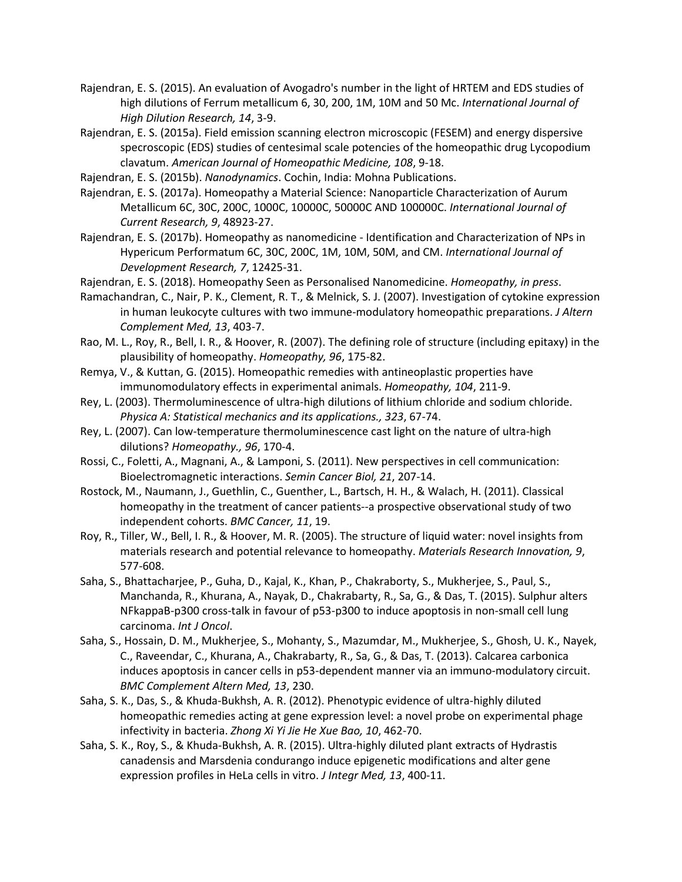- Rajendran, E. S. (2015). An evaluation of Avogadro's number in the light of HRTEM and EDS studies of high dilutions of Ferrum metallicum 6, 30, 200, 1M, 10M and 50 Mc. *International Journal of High Dilution Research, 14*, 3-9.
- Rajendran, E. S. (2015a). Field emission scanning electron microscopic (FESEM) and energy dispersive specroscopic (EDS) studies of centesimal scale potencies of the homeopathic drug Lycopodium clavatum. *American Journal of Homeopathic Medicine, 108*, 9-18.
- Rajendran, E. S. (2015b). *Nanodynamics*. Cochin, India: Mohna Publications.
- Rajendran, E. S. (2017a). Homeopathy a Material Science: Nanoparticle Characterization of Aurum Metallicum 6C, 30C, 200C, 1000C, 10000C, 50000C AND 100000C. *International Journal of Current Research, 9*, 48923-27.
- Rajendran, E. S. (2017b). Homeopathy as nanomedicine Identification and Characterization of NPs in Hypericum Performatum 6C, 30C, 200C, 1M, 10M, 50M, and CM. *International Journal of Development Research, 7*, 12425-31.
- Rajendran, E. S. (2018). Homeopathy Seen as Personalised Nanomedicine. *Homeopathy, in press*.
- Ramachandran, C., Nair, P. K., Clement, R. T., & Melnick, S. J. (2007). Investigation of cytokine expression in human leukocyte cultures with two immune-modulatory homeopathic preparations. *J Altern Complement Med, 13*, 403-7.
- Rao, M. L., Roy, R., Bell, I. R., & Hoover, R. (2007). The defining role of structure (including epitaxy) in the plausibility of homeopathy. *Homeopathy, 96*, 175-82.
- Remya, V., & Kuttan, G. (2015). Homeopathic remedies with antineoplastic properties have immunomodulatory effects in experimental animals. *Homeopathy, 104*, 211-9.
- Rey, L. (2003). Thermoluminescence of ultra-high dilutions of lithium chloride and sodium chloride. *Physica A: Statistical mechanics and its applications., 323*, 67-74.
- Rey, L. (2007). Can low-temperature thermoluminescence cast light on the nature of ultra-high dilutions? *Homeopathy., 96*, 170-4.
- Rossi, C., Foletti, A., Magnani, A., & Lamponi, S. (2011). New perspectives in cell communication: Bioelectromagnetic interactions. *Semin Cancer Biol, 21*, 207-14.
- Rostock, M., Naumann, J., Guethlin, C., Guenther, L., Bartsch, H. H., & Walach, H. (2011). Classical homeopathy in the treatment of cancer patients--a prospective observational study of two independent cohorts. *BMC Cancer, 11*, 19.
- Roy, R., Tiller, W., Bell, I. R., & Hoover, M. R. (2005). The structure of liquid water: novel insights from materials research and potential relevance to homeopathy. *Materials Research Innovation, 9*, 577-608.
- Saha, S., Bhattacharjee, P., Guha, D., Kajal, K., Khan, P., Chakraborty, S., Mukherjee, S., Paul, S., Manchanda, R., Khurana, A., Nayak, D., Chakrabarty, R., Sa, G., & Das, T. (2015). Sulphur alters NFkappaB-p300 cross-talk in favour of p53-p300 to induce apoptosis in non-small cell lung carcinoma. *Int J Oncol*.
- Saha, S., Hossain, D. M., Mukherjee, S., Mohanty, S., Mazumdar, M., Mukherjee, S., Ghosh, U. K., Nayek, C., Raveendar, C., Khurana, A., Chakrabarty, R., Sa, G., & Das, T. (2013). Calcarea carbonica induces apoptosis in cancer cells in p53-dependent manner via an immuno-modulatory circuit. *BMC Complement Altern Med, 13*, 230.
- Saha, S. K., Das, S., & Khuda-Bukhsh, A. R. (2012). Phenotypic evidence of ultra-highly diluted homeopathic remedies acting at gene expression level: a novel probe on experimental phage infectivity in bacteria. *Zhong Xi Yi Jie He Xue Bao, 10*, 462-70.
- Saha, S. K., Roy, S., & Khuda-Bukhsh, A. R. (2015). Ultra-highly diluted plant extracts of Hydrastis canadensis and Marsdenia condurango induce epigenetic modifications and alter gene expression profiles in HeLa cells in vitro. *J Integr Med, 13*, 400-11.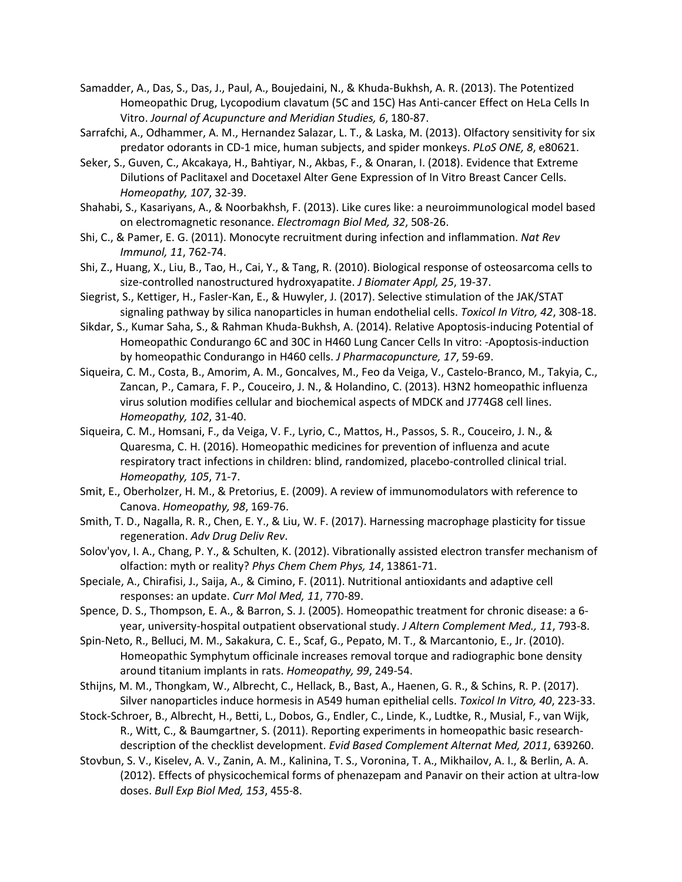- Samadder, A., Das, S., Das, J., Paul, A., Boujedaini, N., & Khuda-Bukhsh, A. R. (2013). The Potentized Homeopathic Drug, Lycopodium clavatum (5C and 15C) Has Anti-cancer Effect on HeLa Cells In Vitro. *Journal of Acupuncture and Meridian Studies, 6*, 180-87.
- Sarrafchi, A., Odhammer, A. M., Hernandez Salazar, L. T., & Laska, M. (2013). Olfactory sensitivity for six predator odorants in CD-1 mice, human subjects, and spider monkeys. *PLoS ONE, 8*, e80621.
- Seker, S., Guven, C., Akcakaya, H., Bahtiyar, N., Akbas, F., & Onaran, I. (2018). Evidence that Extreme Dilutions of Paclitaxel and Docetaxel Alter Gene Expression of In Vitro Breast Cancer Cells. *Homeopathy, 107*, 32-39.
- Shahabi, S., Kasariyans, A., & Noorbakhsh, F. (2013). Like cures like: a neuroimmunological model based on electromagnetic resonance. *Electromagn Biol Med, 32*, 508-26.
- Shi, C., & Pamer, E. G. (2011). Monocyte recruitment during infection and inflammation. *Nat Rev Immunol, 11*, 762-74.
- Shi, Z., Huang, X., Liu, B., Tao, H., Cai, Y., & Tang, R. (2010). Biological response of osteosarcoma cells to size-controlled nanostructured hydroxyapatite. *J Biomater Appl, 25*, 19-37.
- Siegrist, S., Kettiger, H., Fasler-Kan, E., & Huwyler, J. (2017). Selective stimulation of the JAK/STAT signaling pathway by silica nanoparticles in human endothelial cells. *Toxicol In Vitro, 42*, 308-18.
- Sikdar, S., Kumar Saha, S., & Rahman Khuda-Bukhsh, A. (2014). Relative Apoptosis-inducing Potential of Homeopathic Condurango 6C and 30C in H460 Lung Cancer Cells In vitro: -Apoptosis-induction by homeopathic Condurango in H460 cells. *J Pharmacopuncture, 17*, 59-69.
- Siqueira, C. M., Costa, B., Amorim, A. M., Goncalves, M., Feo da Veiga, V., Castelo-Branco, M., Takyia, C., Zancan, P., Camara, F. P., Couceiro, J. N., & Holandino, C. (2013). H3N2 homeopathic influenza virus solution modifies cellular and biochemical aspects of MDCK and J774G8 cell lines. *Homeopathy, 102*, 31-40.
- Siqueira, C. M., Homsani, F., da Veiga, V. F., Lyrio, C., Mattos, H., Passos, S. R., Couceiro, J. N., & Quaresma, C. H. (2016). Homeopathic medicines for prevention of influenza and acute respiratory tract infections in children: blind, randomized, placebo-controlled clinical trial. *Homeopathy, 105*, 71-7.
- Smit, E., Oberholzer, H. M., & Pretorius, E. (2009). A review of immunomodulators with reference to Canova. *Homeopathy, 98*, 169-76.
- Smith, T. D., Nagalla, R. R., Chen, E. Y., & Liu, W. F. (2017). Harnessing macrophage plasticity for tissue regeneration. *Adv Drug Deliv Rev*.
- Solov'yov, I. A., Chang, P. Y., & Schulten, K. (2012). Vibrationally assisted electron transfer mechanism of olfaction: myth or reality? *Phys Chem Chem Phys, 14*, 13861-71.
- Speciale, A., Chirafisi, J., Saija, A., & Cimino, F. (2011). Nutritional antioxidants and adaptive cell responses: an update. *Curr Mol Med, 11*, 770-89.
- Spence, D. S., Thompson, E. A., & Barron, S. J. (2005). Homeopathic treatment for chronic disease: a 6 year, university-hospital outpatient observational study. *J Altern Complement Med., 11*, 793-8.
- Spin-Neto, R., Belluci, M. M., Sakakura, C. E., Scaf, G., Pepato, M. T., & Marcantonio, E., Jr. (2010). Homeopathic Symphytum officinale increases removal torque and radiographic bone density around titanium implants in rats. *Homeopathy, 99*, 249-54.
- Sthijns, M. M., Thongkam, W., Albrecht, C., Hellack, B., Bast, A., Haenen, G. R., & Schins, R. P. (2017). Silver nanoparticles induce hormesis in A549 human epithelial cells. *Toxicol In Vitro, 40*, 223-33.
- Stock-Schroer, B., Albrecht, H., Betti, L., Dobos, G., Endler, C., Linde, K., Ludtke, R., Musial, F., van Wijk, R., Witt, C., & Baumgartner, S. (2011). Reporting experiments in homeopathic basic researchdescription of the checklist development. *Evid Based Complement Alternat Med, 2011*, 639260.
- Stovbun, S. V., Kiselev, A. V., Zanin, A. M., Kalinina, T. S., Voronina, T. A., Mikhailov, A. I., & Berlin, A. A. (2012). Effects of physicochemical forms of phenazepam and Panavir on their action at ultra-low doses. *Bull Exp Biol Med, 153*, 455-8.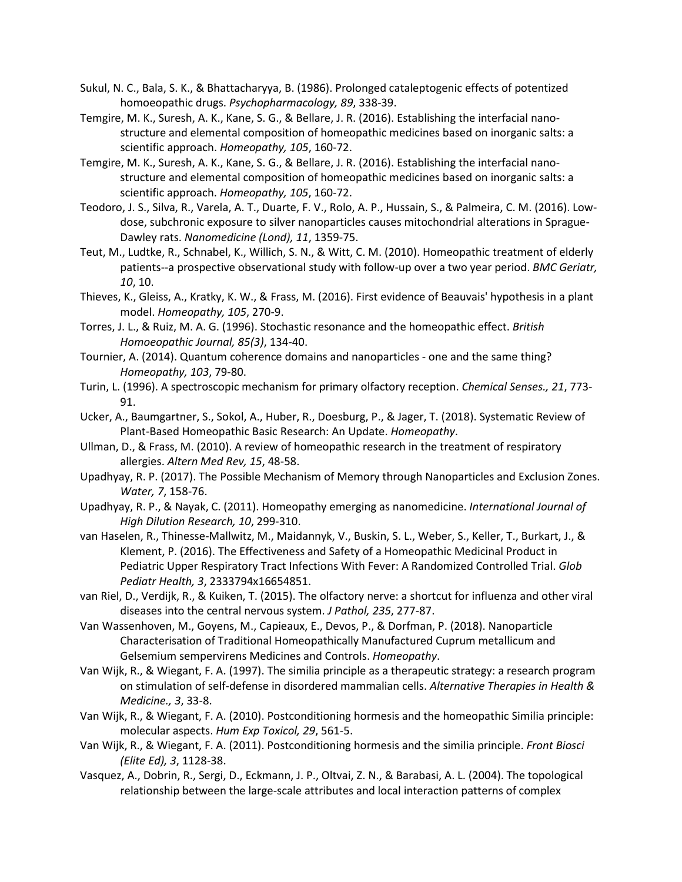- Sukul, N. C., Bala, S. K., & Bhattacharyya, B. (1986). Prolonged cataleptogenic effects of potentized homoeopathic drugs. *Psychopharmacology, 89*, 338-39.
- Temgire, M. K., Suresh, A. K., Kane, S. G., & Bellare, J. R. (2016). Establishing the interfacial nanostructure and elemental composition of homeopathic medicines based on inorganic salts: a scientific approach. *Homeopathy, 105*, 160-72.
- Temgire, M. K., Suresh, A. K., Kane, S. G., & Bellare, J. R. (2016). Establishing the interfacial nanostructure and elemental composition of homeopathic medicines based on inorganic salts: a scientific approach. *Homeopathy, 105*, 160-72.
- Teodoro, J. S., Silva, R., Varela, A. T., Duarte, F. V., Rolo, A. P., Hussain, S., & Palmeira, C. M. (2016). Lowdose, subchronic exposure to silver nanoparticles causes mitochondrial alterations in Sprague-Dawley rats. *Nanomedicine (Lond), 11*, 1359-75.
- Teut, M., Ludtke, R., Schnabel, K., Willich, S. N., & Witt, C. M. (2010). Homeopathic treatment of elderly patients--a prospective observational study with follow-up over a two year period. *BMC Geriatr, 10*, 10.
- Thieves, K., Gleiss, A., Kratky, K. W., & Frass, M. (2016). First evidence of Beauvais' hypothesis in a plant model. *Homeopathy, 105*, 270-9.
- Torres, J. L., & Ruiz, M. A. G. (1996). Stochastic resonance and the homeopathic effect. *British Homoeopathic Journal, 85(3)*, 134-40.
- Tournier, A. (2014). Quantum coherence domains and nanoparticles one and the same thing? *Homeopathy, 103*, 79-80.
- Turin, L. (1996). A spectroscopic mechanism for primary olfactory reception. *Chemical Senses., 21*, 773- 91.
- Ucker, A., Baumgartner, S., Sokol, A., Huber, R., Doesburg, P., & Jager, T. (2018). Systematic Review of Plant-Based Homeopathic Basic Research: An Update. *Homeopathy*.
- Ullman, D., & Frass, M. (2010). A review of homeopathic research in the treatment of respiratory allergies. *Altern Med Rev, 15*, 48-58.
- Upadhyay, R. P. (2017). The Possible Mechanism of Memory through Nanoparticles and Exclusion Zones. *Water, 7*, 158-76.
- Upadhyay, R. P., & Nayak, C. (2011). Homeopathy emerging as nanomedicine. *International Journal of High Dilution Research, 10*, 299-310.
- van Haselen, R., Thinesse-Mallwitz, M., Maidannyk, V., Buskin, S. L., Weber, S., Keller, T., Burkart, J., & Klement, P. (2016). The Effectiveness and Safety of a Homeopathic Medicinal Product in Pediatric Upper Respiratory Tract Infections With Fever: A Randomized Controlled Trial. *Glob Pediatr Health, 3*, 2333794x16654851.
- van Riel, D., Verdijk, R., & Kuiken, T. (2015). The olfactory nerve: a shortcut for influenza and other viral diseases into the central nervous system. *J Pathol, 235*, 277-87.
- Van Wassenhoven, M., Goyens, M., Capieaux, E., Devos, P., & Dorfman, P. (2018). Nanoparticle Characterisation of Traditional Homeopathically Manufactured Cuprum metallicum and Gelsemium sempervirens Medicines and Controls. *Homeopathy*.
- Van Wijk, R., & Wiegant, F. A. (1997). The similia principle as a therapeutic strategy: a research program on stimulation of self-defense in disordered mammalian cells. *Alternative Therapies in Health & Medicine., 3*, 33-8.
- Van Wijk, R., & Wiegant, F. A. (2010). Postconditioning hormesis and the homeopathic Similia principle: molecular aspects. *Hum Exp Toxicol, 29*, 561-5.
- Van Wijk, R., & Wiegant, F. A. (2011). Postconditioning hormesis and the similia principle. *Front Biosci (Elite Ed), 3*, 1128-38.
- Vasquez, A., Dobrin, R., Sergi, D., Eckmann, J. P., Oltvai, Z. N., & Barabasi, A. L. (2004). The topological relationship between the large-scale attributes and local interaction patterns of complex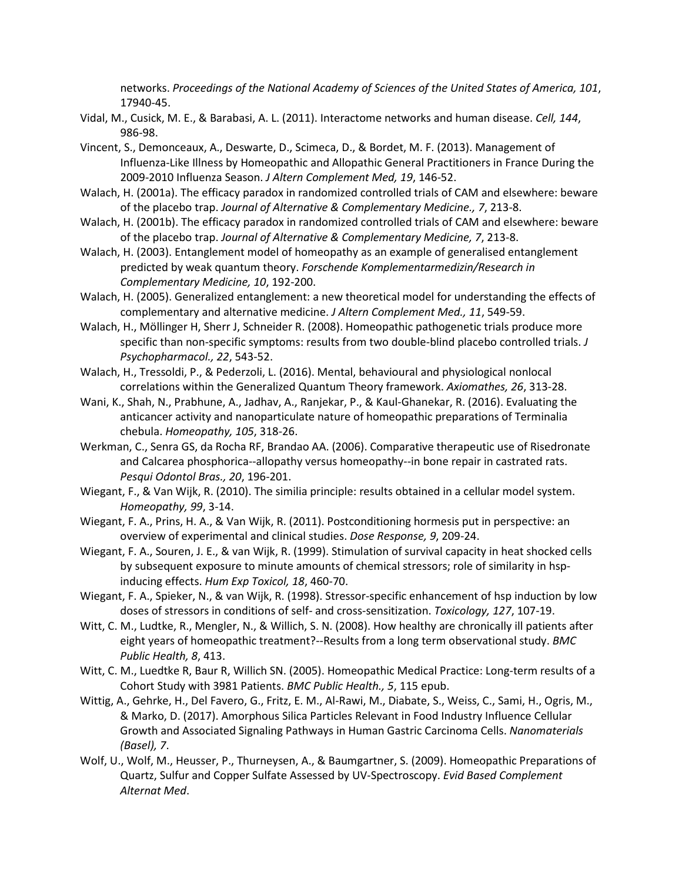networks. *Proceedings of the National Academy of Sciences of the United States of America, 101*, 17940-45.

- Vidal, M., Cusick, M. E., & Barabasi, A. L. (2011). Interactome networks and human disease. *Cell, 144*, 986-98.
- Vincent, S., Demonceaux, A., Deswarte, D., Scimeca, D., & Bordet, M. F. (2013). Management of Influenza-Like Illness by Homeopathic and Allopathic General Practitioners in France During the 2009-2010 Influenza Season. *J Altern Complement Med, 19*, 146-52.
- Walach, H. (2001a). The efficacy paradox in randomized controlled trials of CAM and elsewhere: beware of the placebo trap. *Journal of Alternative & Complementary Medicine., 7*, 213-8.
- Walach, H. (2001b). The efficacy paradox in randomized controlled trials of CAM and elsewhere: beware of the placebo trap. *Journal of Alternative & Complementary Medicine, 7*, 213-8.
- Walach, H. (2003). Entanglement model of homeopathy as an example of generalised entanglement predicted by weak quantum theory. *Forschende Komplementarmedizin/Research in Complementary Medicine, 10*, 192-200.
- Walach, H. (2005). Generalized entanglement: a new theoretical model for understanding the effects of complementary and alternative medicine. *J Altern Complement Med., 11*, 549-59.
- Walach, H., Möllinger H, Sherr J, Schneider R. (2008). Homeopathic pathogenetic trials produce more specific than non-specific symptoms: results from two double-blind placebo controlled trials. *J Psychopharmacol., 22*, 543-52.
- Walach, H., Tressoldi, P., & Pederzoli, L. (2016). Mental, behavioural and physiological nonlocal correlations within the Generalized Quantum Theory framework. *Axiomathes, 26*, 313-28.
- Wani, K., Shah, N., Prabhune, A., Jadhav, A., Ranjekar, P., & Kaul-Ghanekar, R. (2016). Evaluating the anticancer activity and nanoparticulate nature of homeopathic preparations of Terminalia chebula. *Homeopathy, 105*, 318-26.
- Werkman, C., Senra GS, da Rocha RF, Brandao AA. (2006). Comparative therapeutic use of Risedronate and Calcarea phosphorica--allopathy versus homeopathy--in bone repair in castrated rats. *Pesqui Odontol Bras., 20*, 196-201.
- Wiegant, F., & Van Wijk, R. (2010). The similia principle: results obtained in a cellular model system. *Homeopathy, 99*, 3-14.
- Wiegant, F. A., Prins, H. A., & Van Wijk, R. (2011). Postconditioning hormesis put in perspective: an overview of experimental and clinical studies. *Dose Response, 9*, 209-24.
- Wiegant, F. A., Souren, J. E., & van Wijk, R. (1999). Stimulation of survival capacity in heat shocked cells by subsequent exposure to minute amounts of chemical stressors; role of similarity in hspinducing effects. *Hum Exp Toxicol, 18*, 460-70.
- Wiegant, F. A., Spieker, N., & van Wijk, R. (1998). Stressor-specific enhancement of hsp induction by low doses of stressors in conditions of self- and cross-sensitization. *Toxicology, 127*, 107-19.
- Witt, C. M., Ludtke, R., Mengler, N., & Willich, S. N. (2008). How healthy are chronically ill patients after eight years of homeopathic treatment?--Results from a long term observational study. *BMC Public Health, 8*, 413.
- Witt, C. M., Luedtke R, Baur R, Willich SN. (2005). Homeopathic Medical Practice: Long-term results of a Cohort Study with 3981 Patients. *BMC Public Health., 5*, 115 epub.
- Wittig, A., Gehrke, H., Del Favero, G., Fritz, E. M., Al-Rawi, M., Diabate, S., Weiss, C., Sami, H., Ogris, M., & Marko, D. (2017). Amorphous Silica Particles Relevant in Food Industry Influence Cellular Growth and Associated Signaling Pathways in Human Gastric Carcinoma Cells. *Nanomaterials (Basel), 7*.
- Wolf, U., Wolf, M., Heusser, P., Thurneysen, A., & Baumgartner, S. (2009). Homeopathic Preparations of Quartz, Sulfur and Copper Sulfate Assessed by UV-Spectroscopy. *Evid Based Complement Alternat Med*.